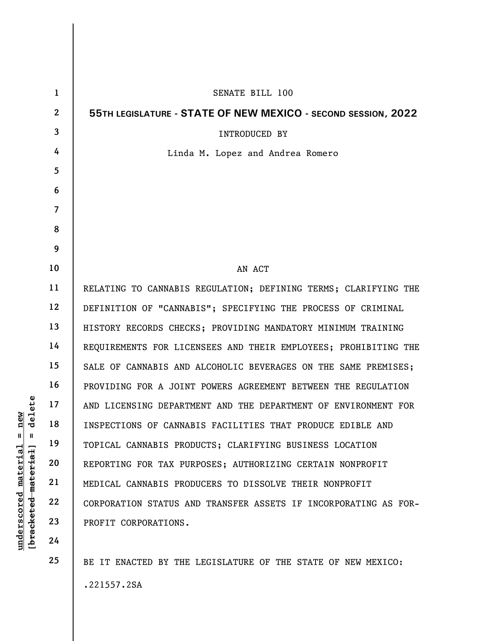|                           | $\mathbf{1}$   | SENATE BILL 100                                                 |
|---------------------------|----------------|-----------------------------------------------------------------|
|                           | $\overline{2}$ | 55TH LEGISLATURE - STATE OF NEW MEXICO - SECOND SESSION, 2022   |
|                           | $\overline{3}$ | <b>INTRODUCED BY</b>                                            |
|                           | 4              | Linda M. Lopez and Andrea Romero                                |
|                           | 5              |                                                                 |
|                           | 6              |                                                                 |
|                           | $\overline{7}$ |                                                                 |
|                           | 8              |                                                                 |
|                           | 9              |                                                                 |
|                           | 10             | AN ACT                                                          |
|                           | 11             | RELATING TO CANNABIS REGULATION; DEFINING TERMS; CLARIFYING THE |
|                           | 12             | DEFINITION OF "CANNABIS"; SPECIFYING THE PROCESS OF CRIMINAL    |
|                           | 13             | HISTORY RECORDS CHECKS; PROVIDING MANDATORY MINIMUM TRAINING    |
|                           | 14             | REQUIREMENTS FOR LICENSEES AND THEIR EMPLOYEES; PROHIBITING THE |
|                           | 15             | SALE OF CANNABIS AND ALCOHOLIC BEVERAGES ON THE SAME PREMISES;  |
|                           | 16             | PROVIDING FOR A JOINT POWERS AGREEMENT BETWEEN THE REGULATION   |
| delete                    | 17             | AND LICENSING DEPARTMENT AND THE DEPARTMENT OF ENVIRONMENT FOR  |
| new<br>Ш<br>- II          | 18             | INSPECTIONS OF CANNABIS FACILITIES THAT PRODUCE EDIBLE AND      |
|                           | 19             | TOPICAL CANNABIS PRODUCTS; CLARIFYING BUSINESS LOCATION         |
| material<br>material      | 20             | REPORTING FOR TAX PURPOSES; AUTHORIZING CERTAIN NONPROFIT       |
|                           | 21             | MEDICAL CANNABIS PRODUCERS TO DISSOLVE THEIR NONPROFIT          |
|                           | 22             | CORPORATION STATUS AND TRANSFER ASSETS IF INCORPORATING AS FOR- |
| underscored<br>[bracketed | 23             | PROFIT CORPORATIONS.                                            |
|                           | 24             |                                                                 |
|                           | 25             | BE IT ENACTED BY THE LEGISLATURE OF THE STATE OF NEW MEXICO:    |

BE IT ENACTED BY THE LEGISLATURE OF THE STATE OF NEW MEXICO: .221557.2SA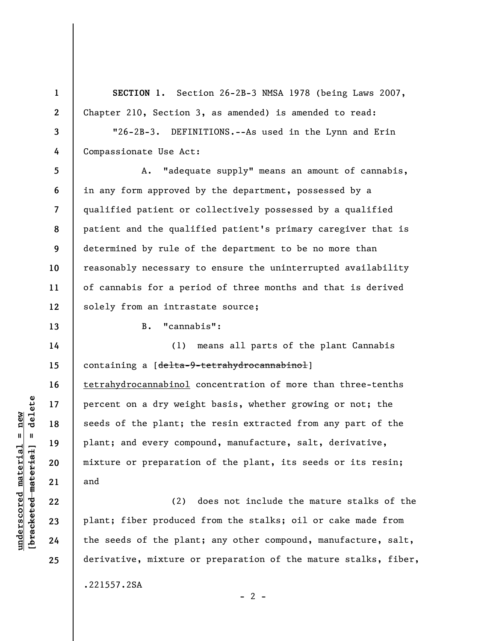SECTION 1. Section 26-2B-3 NMSA 1978 (being Laws 2007, Chapter 210, Section 3, as amended) is amended to read:

3 4 "26-2B-3. DEFINITIONS.--As used in the Lynn and Erin Compassionate Use Act:

5 6 7 8 9 10 11 12 A. "adequate supply" means an amount of cannabis, in any form approved by the department, possessed by a qualified patient or collectively possessed by a qualified patient and the qualified patient's primary caregiver that is determined by rule of the department to be no more than reasonably necessary to ensure the uninterrupted availability of cannabis for a period of three months and that is derived solely from an intrastate source;

B. "cannabis":

understand material material seeds of the plant; the plant of preparation of the plant material plant and every component of preparation and the seeds of the plant of the seeds of the plant of the seeds of the plant of the (1) means all parts of the plant Cannabis containing a [<del>delta-9-tetrahydrocannabinol</del>] tetrahydrocannabinol concentration of more than three-tenths percent on a dry weight basis, whether growing or not; the seeds of the plant; the resin extracted from any part of the plant; and every compound, manufacture, salt, derivative, mixture or preparation of the plant, its seeds or its resin; and

(2) does not include the mature stalks of the plant; fiber produced from the stalks; oil or cake made from the seeds of the plant; any other compound, manufacture, salt, derivative, mixture or preparation of the mature stalks, fiber,

 $- 2 -$ 

.221557.2SA

1

2

13

14

15

16

17

18

19

20

21

22

23

24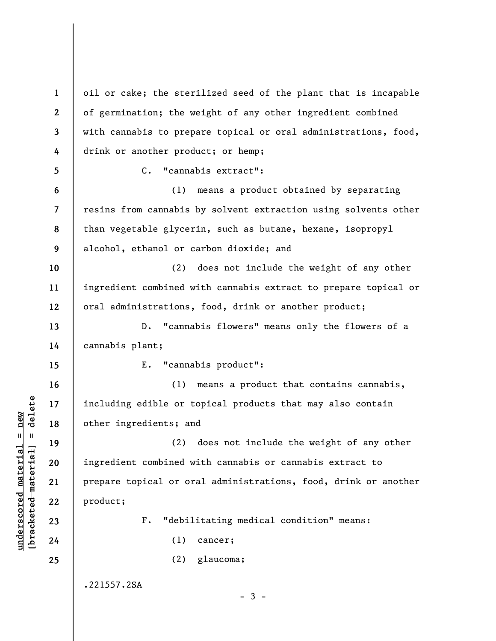underscore material material extending the content of the material of the material of the material of the material of order that an extend material of order that an extending the same of the material of order that an exten 1 2 3 4 5 6 7 8 9 10 11 12 13 14 15 16 17 18 19 20 21 22 23 24 25 oil or cake; the sterilized seed of the plant that is incapable of germination; the weight of any other ingredient combined with cannabis to prepare topical or oral administrations, food, drink or another product; or hemp; C. "cannabis extract": (1) means a product obtained by separating resins from cannabis by solvent extraction using solvents other than vegetable glycerin, such as butane, hexane, isopropyl alcohol, ethanol or carbon dioxide; and (2) does not include the weight of any other ingredient combined with cannabis extract to prepare topical or oral administrations, food, drink or another product; D. "cannabis flowers" means only the flowers of a cannabis plant; E. "cannabis product": (1) means a product that contains cannabis, including edible or topical products that may also contain other ingredients; and (2) does not include the weight of any other ingredient combined with cannabis or cannabis extract to prepare topical or oral administrations, food, drink or another product; F. "debilitating medical condition" means: (1) cancer; (2) glaucoma; .221557.2SA  $-3 -$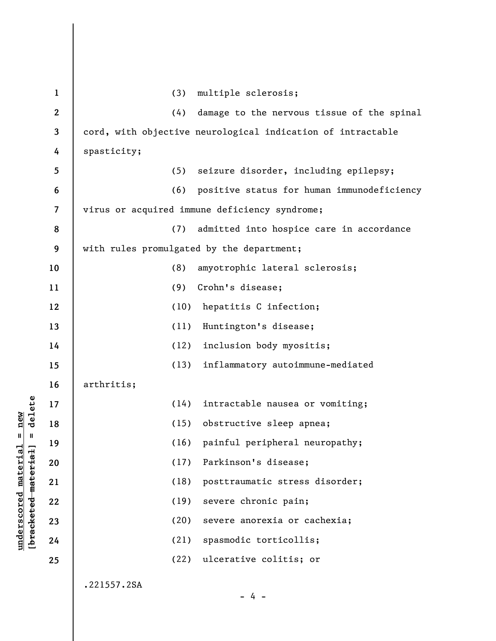|                                    | $\mathbf{1}$   | multiple sclerosis;<br>(3)                                  |
|------------------------------------|----------------|-------------------------------------------------------------|
|                                    | $\mathbf{2}$   | (4)<br>damage to the nervous tissue of the spinal           |
|                                    | $\mathbf{3}$   | cord, with objective neurological indication of intractable |
|                                    | 4              | spasticity;                                                 |
|                                    | 5              | (5)<br>seizure disorder, including epilepsy;                |
|                                    | 6              | (6)<br>positive status for human immunodeficiency           |
|                                    | $\overline{7}$ | virus or acquired immune deficiency syndrome;               |
|                                    | 8              | (7)<br>admitted into hospice care in accordance             |
|                                    | 9              | with rules promulgated by the department;                   |
|                                    | 10             | (8)<br>amyotrophic lateral sclerosis;                       |
|                                    | 11             | (9)<br>Crohn's disease;                                     |
|                                    | 12             | (10)<br>hepatitis C infection;                              |
|                                    | 13             | (11)<br>Huntington's disease;                               |
|                                    | 14             | (12)<br>inclusion body myositis;                            |
|                                    | 15             | (13)<br>inflammatory autoimmune-mediated                    |
|                                    | 16             | arthritis;                                                  |
| delete                             | 17             | (14)<br>intractable nausea or vomiting;                     |
| new                                | 18             | (15)<br>obstructive sleep apnea;                            |
| Ш<br>Ш                             | 19             | (16)<br>painful peripheral neuropathy;                      |
|                                    | 20             | (17)<br>Parkinson's disease;                                |
| material                           | 21             | (18)<br>posttraumatic stress disorder;                      |
|                                    | 22             | (19)<br>severe chronic pain;                                |
| underscored material<br>[bracketed | 23             | (20)<br>severe anorexia or cachexia;                        |
|                                    | 24             | (21)<br>spasmodic torticollis;                              |
|                                    | 25             | (22)<br>ulcerative colitis; or                              |
|                                    |                | .221557.2SA                                                 |
|                                    |                | $-4 -$                                                      |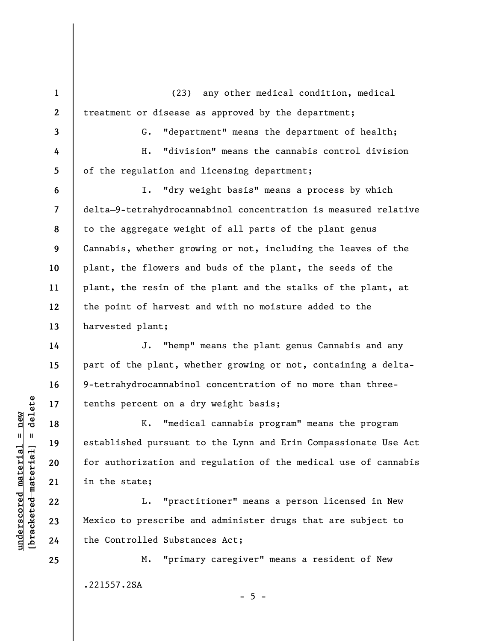(23) any other medical condition, medical treatment or disease as approved by the department;

G. "department" means the department of health; H. "division" means the cannabis control division of the regulation and licensing department;

I. "dry weight basis" means a process by which delta—9-tetrahydrocannabinol concentration is measured relative to the aggregate weight of all parts of the plant genus Cannabis, whether growing or not, including the leaves of the plant, the flowers and buds of the plant, the seeds of the plant, the resin of the plant and the stalks of the plant, at the point of harvest and with no moisture added to the harvested plant;

J. "hemp" means the plant genus Cannabis and any part of the plant, whether growing or not, containing a delta-9-tetrahydrocannabinol concentration of no more than threetenths percent on a dry weight basis;

understand material extended material extending the stablished pursuant<br>definition and the stablished pursuant<br>definition and in the state;<br>22 L. "pract 23 Mexico to prescribe a<br>definition of the Controlled Substate<br>defini K. "medical cannabis program" means the program established pursuant to the Lynn and Erin Compassionate Use Act for authorization and regulation of the medical use of cannabis in the state;

L. "practitioner" means a person licensed in New Mexico to prescribe and administer drugs that are subject to the Controlled Substances Act;

M. "primary caregiver" means a resident of New .221557.2SA

 $- 5 -$ 

25

1

2

3

4

5

6

7

8

9

10

11

12

13

14

15

16

17

18

19

20

21

22

23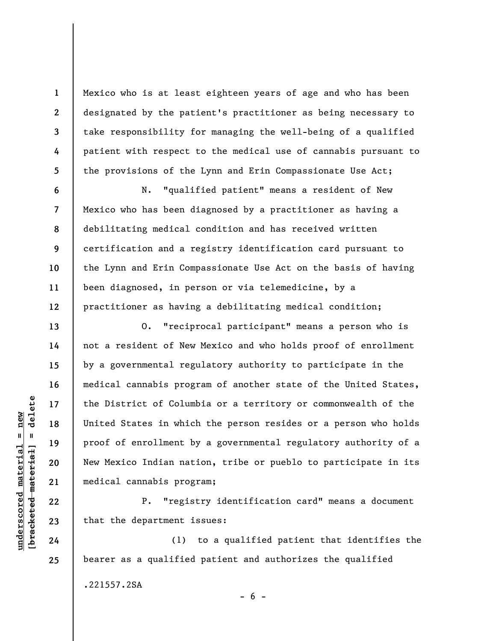Mexico who is at least eighteen years of age and who has been designated by the patient's practitioner as being necessary to take responsibility for managing the well-being of a qualified patient with respect to the medical use of cannabis pursuant to the provisions of the Lynn and Erin Compassionate Use Act;

N. "qualified patient" means a resident of New Mexico who has been diagnosed by a practitioner as having a debilitating medical condition and has received written certification and a registry identification card pursuant to the Lynn and Erin Compassionate Use Act on the basis of having been diagnosed, in person or via telemedicine, by a practitioner as having a debilitating medical condition;

underscored material material end and the District of Column and and the District of Column of the District of Column proof of enrollment by the Mexico Indian nat medical cannabis program and medical cannabis program and m O. "reciprocal participant" means a person who is not a resident of New Mexico and who holds proof of enrollment by a governmental regulatory authority to participate in the medical cannabis program of another state of the United States, the District of Columbia or a territory or commonwealth of the United States in which the person resides or a person who holds proof of enrollment by a governmental regulatory authority of a New Mexico Indian nation, tribe or pueblo to participate in its medical cannabis program;

P. "registry identification card" means a document that the department issues:

(1) to a qualified patient that identifies the bearer as a qualified patient and authorizes the qualified

 $- 6 -$ 

.221557.2SA

1

2

3

4

5

6

7

8

9

10

11

12

13

14

15

16

17

18

19

20

21

22

23

24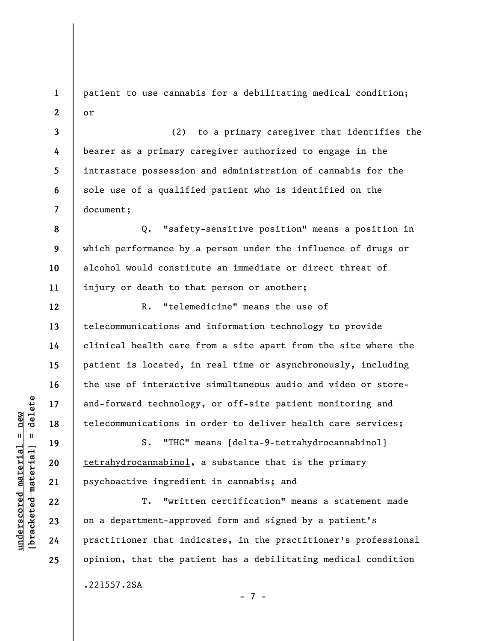1 2 patient to use cannabis for a debilitating medical condition; or

3 4 5 6 7 (2) to a primary caregiver that identifies the bearer as a primary caregiver authorized to engage in the intrastate possession and administration of cannabis for the sole use of a qualified patient who is identified on the document;

Q. "safety-sensitive position" means a position in which performance by a person under the influence of drugs or alcohol would constitute an immediate or direct threat of injury or death to that person or another;

R. "telemedicine" means the use of telecommunications and information technology to provide clinical health care from a site apart from the site where the patient is located, in real time or asynchronously, including the use of interactive simultaneous audio and video or storeand-forward technology, or off-site patient monitoring and telecommunications in order to deliver health care services;

S. "THC" means [delta-9-tetrahydrocannabinol] tetrahydrocannabinol, a substance that is the primary psychoactive ingredient in cannabis; and

understand material material external single<br>
understand material material of the same interesting and the same interesting and the same interesting and the<br>
understand and the same interesting and the same interesting and T. "written certification" means a statement made on a department-approved form and signed by a patient's practitioner that indicates, in the practitioner's professional opinion, that the patient has a debilitating medical condition

- 7 -

.221557.2SA

8

9

10

11

12

13

14

15

16

17

18

19

20

21

22

23

24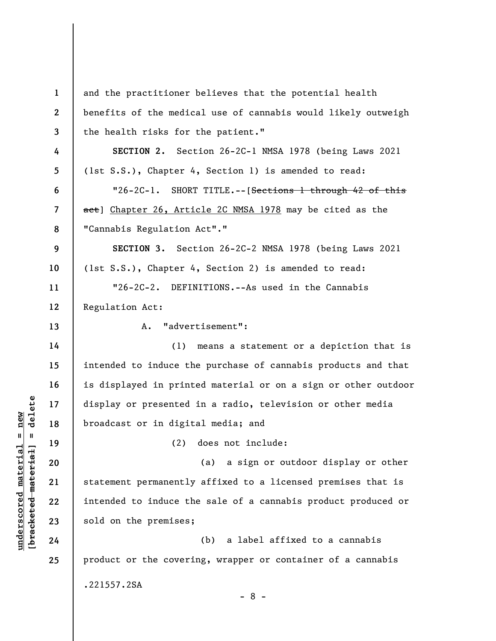|                                                        | $\mathbf{1}$     | and the practitioner believes that the potential health        |
|--------------------------------------------------------|------------------|----------------------------------------------------------------|
|                                                        | $\boldsymbol{2}$ | benefits of the medical use of cannabis would likely outweigh  |
|                                                        | $\mathbf{3}$     | the health risks for the patient."                             |
|                                                        | 4                | SECTION 2. Section 26-2C-1 NMSA 1978 (being Laws 2021          |
|                                                        | 5                | (1st S.S.), Chapter 4, Section 1) is amended to read:          |
|                                                        | 6                | "26-2C-1. SHORT TITLE.--[Sections 1 through 42 of this         |
|                                                        | $\overline{7}$   | aet] Chapter 26, Article 2C NMSA 1978 may be cited as the      |
|                                                        | 8                | "Cannabis Regulation Act"."                                    |
|                                                        | 9                | SECTION 3. Section 26-2C-2 NMSA 1978 (being Laws 2021          |
|                                                        | 10               | (1st S.S.), Chapter 4, Section 2) is amended to read:          |
|                                                        | 11               | "26-2C-2. DEFINITIONS.--As used in the Cannabis                |
|                                                        | 12               | Regulation Act:                                                |
|                                                        | 13               | "advertisement":<br>A.                                         |
|                                                        | 14               | (1)<br>means a statement or a depiction that is                |
|                                                        | 15               | intended to induce the purchase of cannabis products and that  |
|                                                        | 16               | is displayed in printed material or on a sign or other outdoor |
| delete                                                 | 17               | display or presented in a radio, television or other media     |
| new                                                    | 18               | broadcast or in digital media; and                             |
| $\mathsf{II}$<br>$\blacksquare$                        | 19               | (2)<br>does not include:                                       |
| underscored materia<br>[ <del>bracketed material</del> | 20               | a sign or outdoor display or other<br>(a)                      |
|                                                        | 21               | statement permanently affixed to a licensed premises that is   |
|                                                        | 22               | intended to induce the sale of a cannabis product produced or  |
|                                                        | 23               | sold on the premises;                                          |
|                                                        | 24               | a label affixed to a cannabis<br>(b)                           |
|                                                        | 25               | product or the covering, wrapper or container of a cannabis    |
|                                                        |                  | .221557.2SA                                                    |
|                                                        |                  | $-8-$                                                          |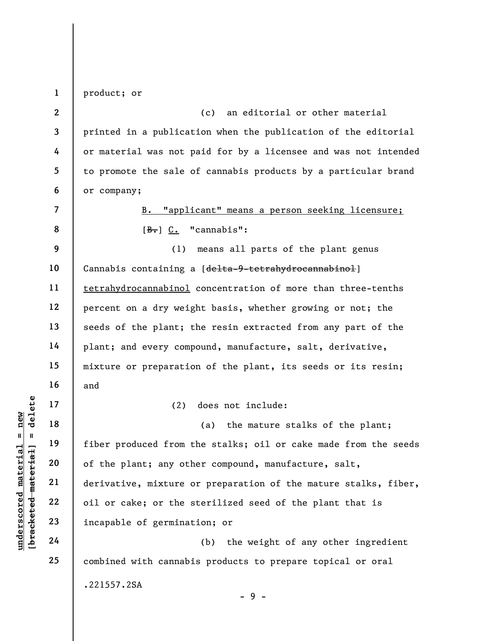1 product; or

7

8

17

18

19

20

21

22

23

24

25

2 3 4 5 6 (c) an editorial or other material printed in a publication when the publication of the editorial or material was not paid for by a licensee and was not intended to promote the sale of cannabis products by a particular brand or company;

> B. "applicant" means a person seeking licensure;  $[B<sub>•</sub>]$   $C<sub>•</sub>$  "cannabis":

9 10 11 12 13 14 15 16 (1) means all parts of the plant genus Cannabis containing a [<del>delta-9-tetrahydrocannabinol</del>] tetrahydrocannabinol concentration of more than three-tenths percent on a dry weight basis, whether growing or not; the seeds of the plant; the resin extracted from any part of the plant; and every compound, manufacture, salt, derivative, mixture or preparation of the plant, its seeds or its resin; and

(2) does not include:

underscored material material material experience of the plant; any other produced from the set of the plant; any other produced from the set of the plant; any other derivative, mixture contract and the set of the set of t (a) the mature stalks of the plant; fiber produced from the stalks; oil or cake made from the seeds of the plant; any other compound, manufacture, salt, derivative, mixture or preparation of the mature stalks, fiber, oil or cake; or the sterilized seed of the plant that is incapable of germination; or

(b) the weight of any other ingredient combined with cannabis products to prepare topical or oral .221557.2SA - 9 -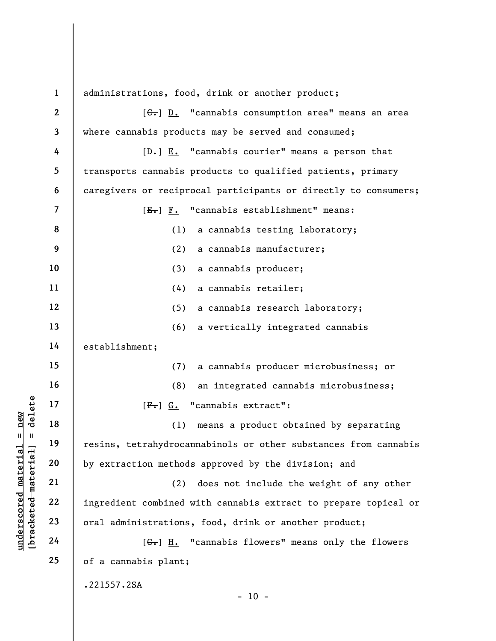|                                            | $\mathbf{1}$            | administrations, food, drink or another product;                                                                                                                                                     |
|--------------------------------------------|-------------------------|------------------------------------------------------------------------------------------------------------------------------------------------------------------------------------------------------|
|                                            | $\boldsymbol{2}$        | $[\leftarrow, \cdot \cdot \cdot \cdot \cdot \cdot \cdot \cdot \cdot \cdot \cdot \cdot \cdot \cdot \cdot \cdot \cdot \cdot \cdot \cdot \cdot \cdot \cdot \cdot \cdot \cdot \cdot \cdot \cdot \cdot <$ |
|                                            | 3                       | where cannabis products may be served and consumed;                                                                                                                                                  |
|                                            | 4                       | $[\frac{D-1}{2}]$ $\underline{E.}$ "cannabis courier" means a person that                                                                                                                            |
|                                            | 5                       | transports cannabis products to qualified patients, primary                                                                                                                                          |
|                                            | 6                       | caregivers or reciprocal participants or directly to consumers;                                                                                                                                      |
|                                            | $\overline{\mathbf{z}}$ | $[E-] F.$ "cannabis establishment" means:                                                                                                                                                            |
|                                            | 8                       | (1)<br>a cannabis testing laboratory;                                                                                                                                                                |
|                                            | 9                       | (2)<br>a cannabis manufacturer;                                                                                                                                                                      |
|                                            | 10                      | (3)<br>a cannabis producer;                                                                                                                                                                          |
|                                            | 11                      | (4)<br>a cannabis retailer;                                                                                                                                                                          |
|                                            | 12                      | (5)<br>a cannabis research laboratory;                                                                                                                                                               |
|                                            | 13                      | (6)<br>a vertically integrated cannabis                                                                                                                                                              |
|                                            | 14                      | establishment;                                                                                                                                                                                       |
|                                            | 15                      | a cannabis producer microbusiness; or<br>(7)                                                                                                                                                         |
|                                            | 16                      | (8)<br>an integrated cannabis microbusiness;                                                                                                                                                         |
| delete                                     | 17                      | $[F•]$ $G•$ "cannabis extract":                                                                                                                                                                      |
| nev                                        | 18                      | means a product obtained by separating<br>(1)                                                                                                                                                        |
| Ш<br>- 11                                  | 19                      | resins, tetrahydrocannabinols or other substances from cannabis                                                                                                                                      |
| underscored material<br>bracketed material | 20                      | by extraction methods approved by the division; and                                                                                                                                                  |
|                                            | 21                      | (2)<br>does not include the weight of any other                                                                                                                                                      |
|                                            | 22                      | ingredient combined with cannabis extract to prepare topical or                                                                                                                                      |
|                                            | 23                      | oral administrations, food, drink or another product;                                                                                                                                                |
|                                            | 24                      | "cannabis flowers" means only the flowers<br>$[G_{\bullet}]$ H.                                                                                                                                      |
|                                            | 25                      | of a cannabis plant;                                                                                                                                                                                 |
|                                            |                         | .221557.2SA                                                                                                                                                                                          |

- 10 -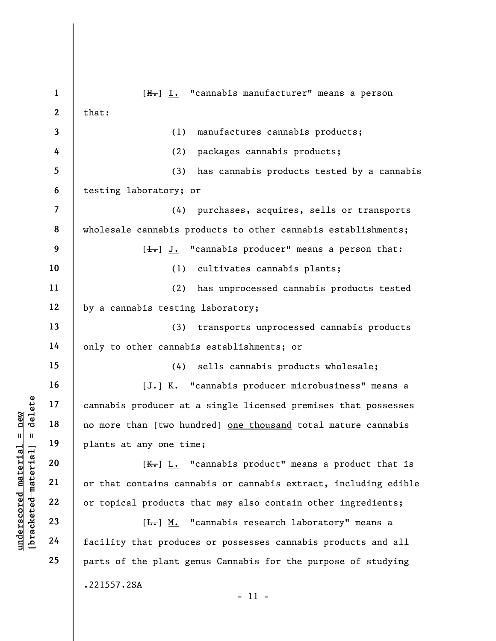$\begin{array}{c|c|c|c} \mathbf{u} & \mathbf{u} & \mathbf{u} & \mathbf{v} & \mathbf{v} & \mathbf{v} & \mathbf{v} & \mathbf{v} & \mathbf{v} & \mathbf{v} & \mathbf{v} & \mathbf{v} & \mathbf{v} & \mathbf{v} & \mathbf{v} & \mathbf{v} & \mathbf{v} & \mathbf{v} & \mathbf{v} & \mathbf{v} & \mathbf{v} & \mathbf{v} & \mathbf{v} & \mathbf{v} & \mathbf{v} & \mathbf{v} & \mathbf{v} & \mathbf{v} & \mathbf{v} & \mathbf{$ 1 2 3 4 5 6 7 8 9 10 11 12 13 14 15 16 17 18 19 20 21 22 23 24 25 [H.] I. "cannabis manufacturer" means a person that: (1) manufactures cannabis products; (2) packages cannabis products; (3) has cannabis products tested by a cannabis testing laboratory; or (4) purchases, acquires, sells or transports wholesale cannabis products to other cannabis establishments;  $[\frac{1}{\sqrt{1}}]$  J. "cannabis producer" means a person that: (1) cultivates cannabis plants; (2) has unprocessed cannabis products tested by a cannabis testing laboratory; (3) transports unprocessed cannabis products only to other cannabis establishments; or (4) sells cannabis products wholesale;  $[\frac{1}{\sqrt{1}}]$  K. "cannabis producer microbusiness" means a cannabis producer at a single licensed premises that possesses no more than [two hundred] one thousand total mature cannabis plants at any one time;  $[K_r]$  L. "cannabis product" means a product that is or that contains cannabis or cannabis extract, including edible or topical products that may also contain other ingredients;  $[\frac{L}{\sqrt{L}}]$  M. "cannabis research laboratory" means a facility that produces or possesses cannabis products and all parts of the plant genus Cannabis for the purpose of studying .221557.2SA - 11 -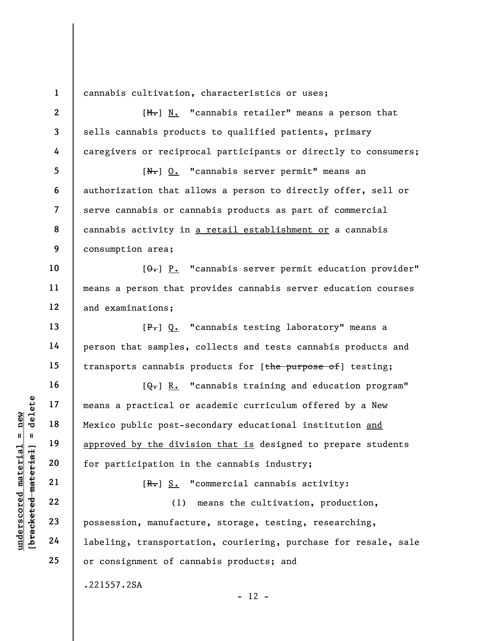1

cannabis cultivation, characteristics or uses;

under 17<br>
and 18<br>
19<br>
19<br>
19<br>
approved by the divis<br>
approved by the divis<br>
for participation in<br>
18<br>
18<br>
20<br>
18<br>
18<br>
19<br>
22<br>
23<br>
19<br>
24<br>
1abeling, transportation<br>
24<br>
1abeling, transportation<br>
24<br>
29<br>
29<br>
29<br>
29<br>
29<br>
29<br> 2 3 4 5 6 7 8 9 10 11 12 13 14 15 16 17 18 19 20 21 22 23 24 25  $[M<sub>1</sub>]$  N. "cannabis retailer" means a person that sells cannabis products to qualified patients, primary caregivers or reciprocal participants or directly to consumers; [N.] O. "cannabis server permit" means an authorization that allows a person to directly offer, sell or serve cannabis or cannabis products as part of commercial cannabis activity in a retail establishment or a cannabis consumption area;  $[\theta_{\overline{\bullet}}]$  P. "cannabis server permit education provider" means a person that provides cannabis server education courses and examinations; [P.] Q. "cannabis testing laboratory" means a person that samples, collects and tests cannabis products and transports cannabis products for [the purpose of] testing;  $[\theta_{\overline{\bullet}}]$  R. "cannabis training and education program" means a practical or academic curriculum offered by a New Mexico public post-secondary educational institution and approved by the division that is designed to prepare students for participation in the cannabis industry;  $[R<sub>1</sub>]$  S. "commercial cannabis activity: (1) means the cultivation, production, possession, manufacture, storage, testing, researching, labeling, transportation, couriering, purchase for resale, sale or consignment of cannabis products; and .221557.2SA  $- 12 -$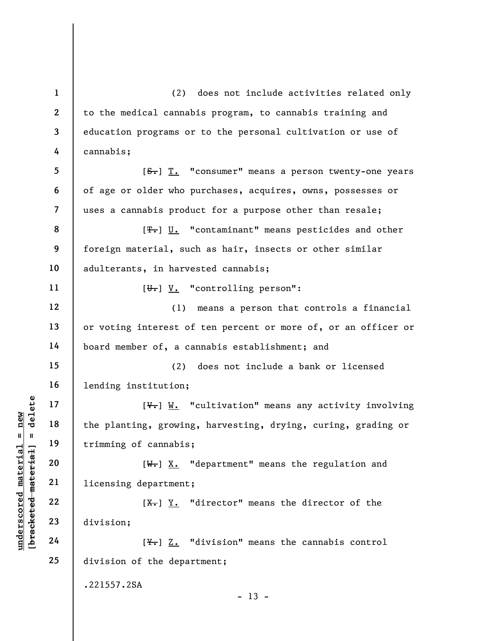$\begin{array}{c|c|c|c} \mathbf{u} & \mathbf{u} & \mathbf{u} & \mathbf{u} & \mathbf{u} & \mathbf{u} & \mathbf{u} & \mathbf{u} & \mathbf{u} & \mathbf{u} & \mathbf{u} & \mathbf{u} & \mathbf{u} & \mathbf{u} & \mathbf{u} & \mathbf{u} & \mathbf{u} & \mathbf{u} & \mathbf{u} & \mathbf{u} & \mathbf{u} & \mathbf{u} & \mathbf{u} & \mathbf{u} & \mathbf{u} & \mathbf{u} & \mathbf{u} & \mathbf{u} & \mathbf{u} & \mathbf{$ 1 2 3 4 5 6 7 8 9 10 11 12 13 14 15 16 17 18 19 20 21 22 23 24 25 (2) does not include activities related only to the medical cannabis program, to cannabis training and education programs or to the personal cultivation or use of cannabis; [S.] T. "consumer" means a person twenty-one years of age or older who purchases, acquires, owns, possesses or uses a cannabis product for a purpose other than resale; [ $T$ .] U. "contaminant" means pesticides and other foreign material, such as hair, insects or other similar adulterants, in harvested cannabis;  $[\overline{\theta_{\bullet}}]$  V. "controlling person": (1) means a person that controls a financial or voting interest of ten percent or more of, or an officer or board member of, a cannabis establishment; and (2) does not include a bank or licensed lending institution;  $[\nabla_{\cdot}]$  W. "cultivation" means any activity involving the planting, growing, harvesting, drying, curing, grading or trimming of cannabis;  $[W_r]$  X. "department" means the regulation and licensing department;  $[X<sub>1</sub>]$   $Y<sub>2</sub>$ . "director" means the director of the division;  $[\frac{y}{x}]$  Z. "division" means the cannabis control division of the department; .221557.2SA  $- 13 -$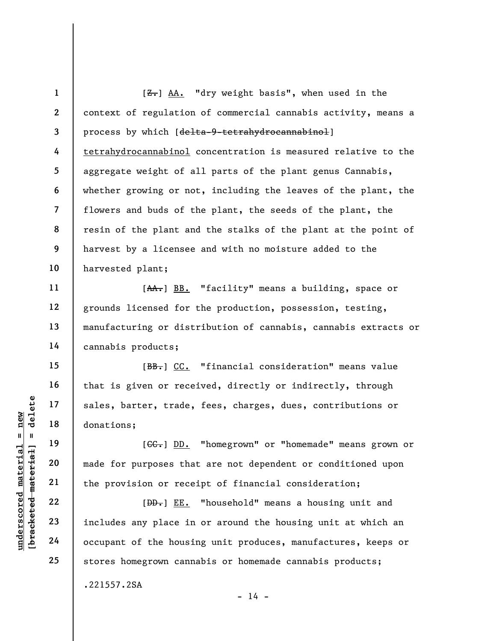1 2 3 4 5 6 7 8 9 10  $[**Z**$ . "dry weight basis", when used in the context of regulation of commercial cannabis activity, means a process by which [delta-9-tetrahydrocannabinol] tetrahydrocannabinol concentration is measured relative to the aggregate weight of all parts of the plant genus Cannabis, whether growing or not, including the leaves of the plant, the flowers and buds of the plant, the seeds of the plant, the resin of the plant and the stalks of the plant at the point of harvest by a licensee and with no moisture added to the harvested plant;

[AA.] BB. "facility" means a building, space or grounds licensed for the production, possession, testing, manufacturing or distribution of cannabis, cannabis extracts or cannabis products;

[BB.] CC. "financial consideration" means value that is given or received, directly or indirectly, through sales, barter, trade, fees, charges, dues, contributions or donations;

[CC.] DD. "homegrown" or "homemade" means grown or made for purposes that are not dependent or conditioned upon the provision or receipt of financial consideration;

understand material material end of the provision or recession of the housing donations;<br>
which is the provision or recession of the provision of the housing and the provision of the housing the correction of the housing t [BD.] EE. "household" means a housing unit and includes any place in or around the housing unit at which an occupant of the housing unit produces, manufactures, keeps or stores homegrown cannabis or homemade cannabis products;

 $- 14 -$ 

11

12

13

14

15

16

17

18

19

20

21

22

23

24

25

.221557.2SA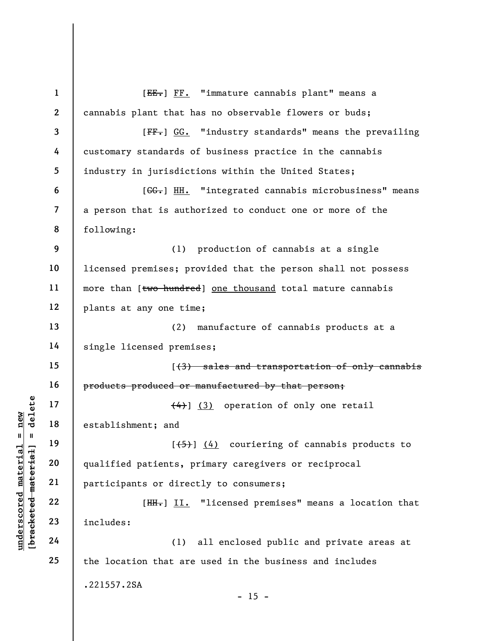$\begin{array}{c|c|c} \mathbf{u} & \mathbf{u} & \mathbf{u} & \mathbf{v} & \mathbf{v} \\ \hline \mathbf{u} & \mathbf{u} & \mathbf{u} & \mathbf{v} & \mathbf{v} \\ \hline \mathbf{u} & \mathbf{u} & \mathbf{u} & \mathbf{v} & \mathbf{v} \\ \hline \mathbf{u} & \mathbf{u} & \mathbf{u} & \mathbf{v} & \mathbf{v} \\ \hline \mathbf{u} & \mathbf{u} & \mathbf{v} & \mathbf{v} & \mathbf{v} \\ \hline \mathbf{u} & \mathbf{v} & \mathbf{v$ 1 2 3 4 5 6 7 8 9 10 11 12 13 14 15 16 17 18 19 20 21 22 23 24 25 [EE.] FF. "immature cannabis plant" means a cannabis plant that has no observable flowers or buds; [FF.] GG. "industry standards" means the prevailing customary standards of business practice in the cannabis industry in jurisdictions within the United States; [GG.] HH. "integrated cannabis microbusiness" means a person that is authorized to conduct one or more of the following: (1) production of cannabis at a single licensed premises; provided that the person shall not possess more than [two hundred] one thousand total mature cannabis plants at any one time; (2) manufacture of cannabis products at a single licensed premises; [(3) sales and transportation of only cannabis products produced or manufactured by that person;  $(4)$ ] (3) operation of only one retail establishment; and  $[\frac{1}{5}]$  (4) couriering of cannabis products to qualified patients, primary caregivers or reciprocal participants or directly to consumers; [HH.] II. "licensed premises" means a location that includes: (1) all enclosed public and private areas at the location that are used in the business and includes .221557.2SA  $- 15 -$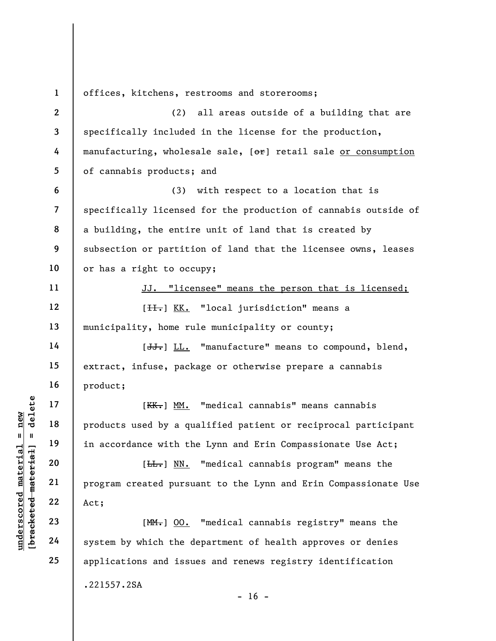understand material material products used by a quality of the set of the set of the set of the set of the set of the set of the set of the set of the set of the set of the set of the set of the set of the set of the set o 1 2 3 4 5 6 7 8 9 10 11 12 13 14 15 16 17 18 19 20 21 22 23 24 25 offices, kitchens, restrooms and storerooms; (2) all areas outside of a building that are specifically included in the license for the production, manufacturing, wholesale sale,  $[\Theta^*]$  retail sale or consumption of cannabis products; and (3) with respect to a location that is specifically licensed for the production of cannabis outside of a building, the entire unit of land that is created by subsection or partition of land that the licensee owns, leases or has a right to occupy; JJ. "licensee" means the person that is licensed; [H.] KK. "local jurisdiction" means a municipality, home rule municipality or county; [JJ.] LL. "manufacture" means to compound, blend, extract, infuse, package or otherwise prepare a cannabis product; [KK.] MM. "medical cannabis" means cannabis products used by a qualified patient or reciprocal participant in accordance with the Lynn and Erin Compassionate Use Act; [H<sub>t</sub>] NN. "medical cannabis program" means the program created pursuant to the Lynn and Erin Compassionate Use Act; [MM.] OO. "medical cannabis registry" means the system by which the department of health approves or denies applications and issues and renews registry identification .221557.2SA  $- 16 -$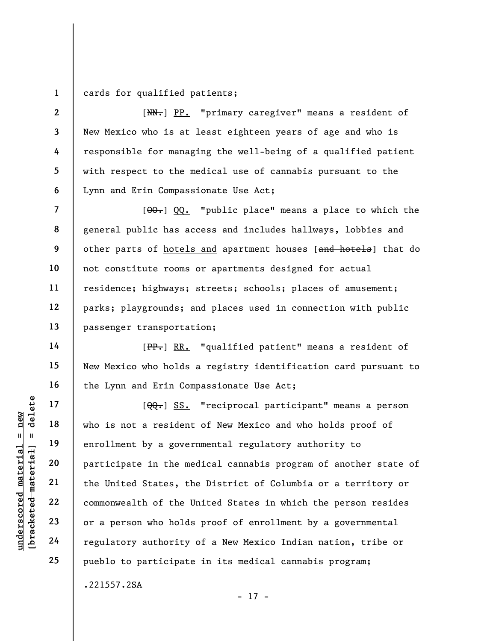1 cards for qualified patients;

2

3

4

5

6

7

8

9

10

11

12

13

14

15

16

17

18

19

20

21

22

23

24

25

[NN.] PP. "primary caregiver" means a resident of New Mexico who is at least eighteen years of age and who is responsible for managing the well-being of a qualified patient with respect to the medical use of cannabis pursuant to the Lynn and Erin Compassionate Use Act;

 $[ $\theta$ 0.  $\theta$ ) QQ. *"public place"* means a place to which the$ general public has access and includes hallways, lobbies and other parts of hotels and apartment houses [and hotels] that do not constitute rooms or apartments designed for actual residence; highways; streets; schools; places of amusement; parks; playgrounds; and places used in connection with public passenger transportation;

[PP.] RR. "qualified patient" means a resident of New Mexico who holds a registry identification card pursuant to the Lynn and Erin Compassionate Use Act;

underscored material material encodenate material encodenate material encodenate material encodenate material encodenate material commonwealth of the United States, the United States, the United States, the United States,  $[ $\Theta$ Q-] SS. "reciprocal partition$ who is not a resident of New Mexico and who holds proof of enrollment by a governmental regulatory authority to participate in the medical cannabis program of another state of the United States, the District of Columbia or a territory or commonwealth of the United States in which the person resides or a person who holds proof of enrollment by a governmental regulatory authority of a New Mexico Indian nation, tribe or pueblo to participate in its medical cannabis program;

- 17 -

.221557.2SA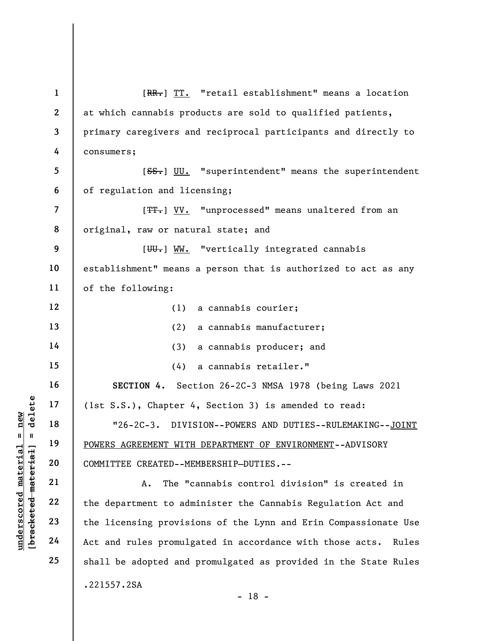UNDEREAGREEMENT WITH<br>
WE HO UNISING THE MATERIAL POWERS AGREEMENT WITH<br>
THE 20<br>
THE 22<br>
UNISING 22<br>
UNISING 22<br>
23<br>
THE 24<br>
24<br>
Act and rules promulg 1 2 3 4 5 6 7 8 9 10 11 12 13 14 15 16 17 18 19 20 21 22 23 24 25 [RR.] TT. "retail establishment" means a location at which cannabis products are sold to qualified patients, primary caregivers and reciprocal participants and directly to consumers; [SS.] UU. "superintendent" means the superintendent of regulation and licensing; [TT.] VV. "unprocessed" means unaltered from an original, raw or natural state; and [W.] WW. "vertically integrated cannabis establishment" means a person that is authorized to act as any of the following: (1) a cannabis courier; (2) a cannabis manufacturer; (3) a cannabis producer; and (4) a cannabis retailer." SECTION 4. Section 26-2C-3 NMSA 1978 (being Laws 2021 (1st S.S.), Chapter 4, Section 3) is amended to read: "26-2C-3. DIVISION--POWERS AND DUTIES--RULEMAKING--JOINT POWERS AGREEMENT WITH DEPARTMENT OF ENVIRONMENT--ADVISORY COMMITTEE CREATED--MEMBERSHIP–DUTIES.-- A. The "cannabis control division" is created in the department to administer the Cannabis Regulation Act and the licensing provisions of the Lynn and Erin Compassionate Use Act and rules promulgated in accordance with those acts. Rules shall be adopted and promulgated as provided in the State Rules .221557.2SA - 18 -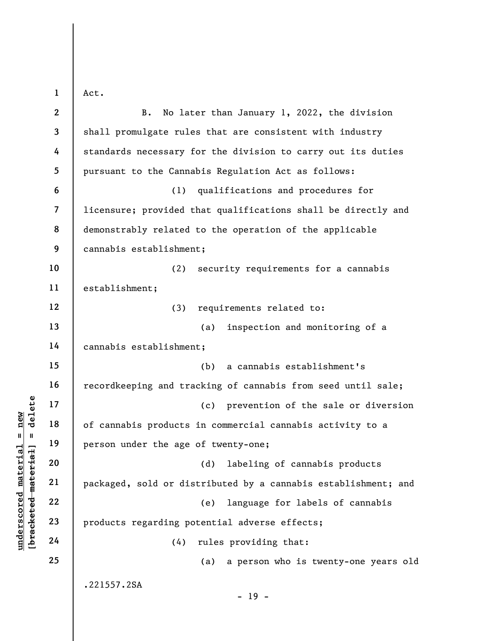1 Act.  $\mathbf{I}$ 

|                          | $\boldsymbol{2}$        | No later than January 1, 2022, the division<br><b>B.</b>       |
|--------------------------|-------------------------|----------------------------------------------------------------|
|                          | 3                       | shall promulgate rules that are consistent with industry       |
|                          | 4                       | standards necessary for the division to carry out its duties   |
|                          | 5                       | pursuant to the Cannabis Regulation Act as follows:            |
|                          | 6                       | qualifications and procedures for<br>(1)                       |
|                          | $\overline{\mathbf{7}}$ | licensure; provided that qualifications shall be directly and  |
|                          | 8                       | demonstrably related to the operation of the applicable        |
|                          | 9                       | cannabis establishment;                                        |
|                          | 10                      | (2)<br>security requirements for a cannabis                    |
|                          | 11                      | establishment;                                                 |
|                          | 12                      | requirements related to:<br>(3)                                |
|                          | 13                      | inspection and monitoring of a<br>(a)                          |
|                          | 14                      | cannabis establishment;                                        |
|                          | 15                      | a cannabis establishment's<br>(b)                              |
|                          | 16                      | recordkeeping and tracking of cannabis from seed until sale;   |
| delete                   | 17                      | prevention of the sale or diversion<br>(c)                     |
| new<br>- II              | 18                      | of cannabis products in commercial cannabis activity to a      |
| $\sf II$<br>rial         | 19                      | person under the age of twenty-one;                            |
| <b>Lei</b>               | 20                      | (d) labeling of cannabis products                              |
| mate<br>[bracketed mater | 21                      | packaged, sold or distributed by a cannabis establishment; and |
|                          | 22                      | language for labels of cannabis<br>(e)                         |
| $\bm{{\rm underscore}}$  | 23                      | products regarding potential adverse effects;                  |
|                          | 24                      | rules providing that:<br>(4)                                   |
|                          | 25                      | a person who is twenty-one years old<br>(a)                    |
|                          |                         | .221557.2SA                                                    |
|                          |                         | $-19 -$                                                        |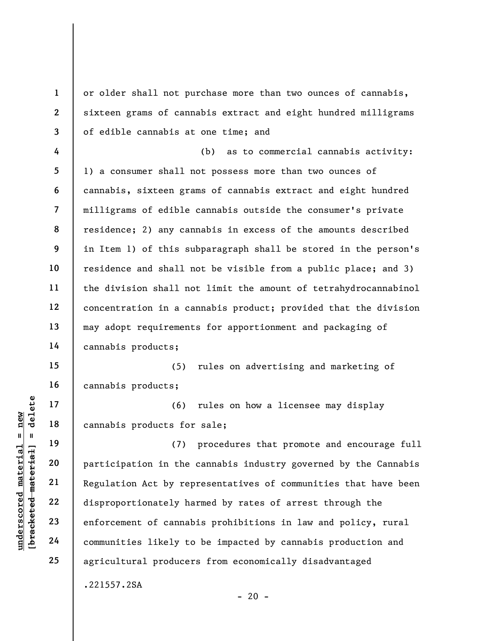understand material material of the set of cannot communities likely to the communities likely to the communities likely to the communities likely to the communities likely to the communities likely to the communities like 1 2 3 4 5 6 7 8 9 10 11 12 13 14 15 16 17 18 19 20 21 22 23 24 25 or older shall not purchase more than two ounces of cannabis, sixteen grams of cannabis extract and eight hundred milligrams of edible cannabis at one time; and (b) as to commercial cannabis activity: 1) a consumer shall not possess more than two ounces of cannabis, sixteen grams of cannabis extract and eight hundred milligrams of edible cannabis outside the consumer's private residence; 2) any cannabis in excess of the amounts described in Item 1) of this subparagraph shall be stored in the person's residence and shall not be visible from a public place; and 3) the division shall not limit the amount of tetrahydrocannabinol concentration in a cannabis product; provided that the division may adopt requirements for apportionment and packaging of cannabis products; (5) rules on advertising and marketing of cannabis products; (6) rules on how a licensee may display cannabis products for sale; (7) procedures that promote and encourage full participation in the cannabis industry governed by the Cannabis Regulation Act by representatives of communities that have been disproportionately harmed by rates of arrest through the enforcement of cannabis prohibitions in law and policy, rural communities likely to be impacted by cannabis production and agricultural producers from economically disadvantaged .221557.2SA

 $- 20 -$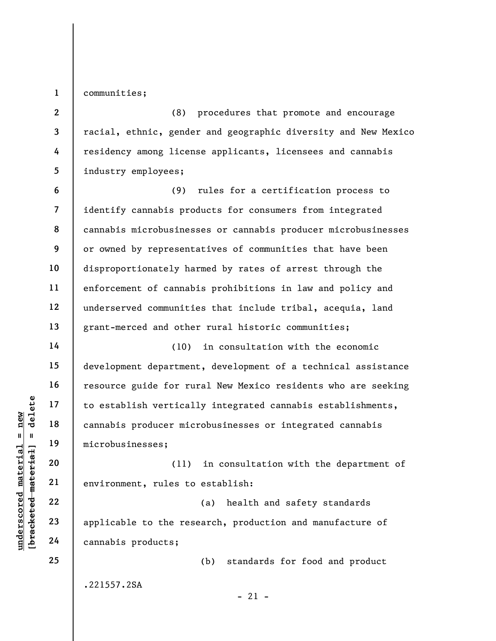1

14

15

16

17

18

19

20

21

22

23

24

25

communities;

2 3 4 5 (8) procedures that promote and encourage racial, ethnic, gender and geographic diversity and New Mexico residency among license applicants, licensees and cannabis industry employees;

6 7 8 9 10 11 12 13 (9) rules for a certification process to identify cannabis products for consumers from integrated cannabis microbusinesses or cannabis producer microbusinesses or owned by representatives of communities that have been disproportionately harmed by rates of arrest through the enforcement of cannabis prohibitions in law and policy and underserved communities that include tribal, acequia, land grant-merced and other rural historic communities;

underscored material = new [bracketed material] = delete (10) in consultation with the economic development department, development of a technical assistance resource guide for rural New Mexico residents who are seeking to establish vertically integrated cannabis establishments, cannabis producer microbusinesses or integrated cannabis microbusinesses;

(11) in consultation with the department of environment, rules to establish:

(a) health and safety standards applicable to the research, production and manufacture of cannabis products;

(b) standards for food and product

.221557.2SA

 $-21 -$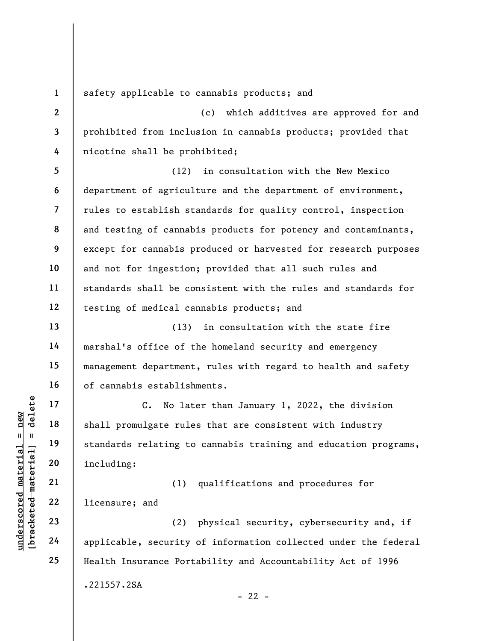1 safety applicable to cannabis products; and

2 3 4 (c) which additives are approved for and prohibited from inclusion in cannabis products; provided that nicotine shall be prohibited;

5 6 7 8 9 10 11 12 (12) in consultation with the New Mexico department of agriculture and the department of environment, rules to establish standards for quality control, inspection and testing of cannabis products for potency and contaminants, except for cannabis produced or harvested for research purposes and not for ingestion; provided that all such rules and standards shall be consistent with the rules and standards for testing of medical cannabis products; and

(13) in consultation with the state fire marshal's office of the homeland security and emergency management department, rules with regard to health and safety of cannabis establishments.

underscored material material shall promulgate rule<br>
shall promulgate rule<br>
standards relating to<br>
standards relating to<br>
standards relating to<br>
standards relating to<br>
including:<br>
(1)<br>
22<br>
licensure; and<br>
23<br>
24<br>
applicabl C. No later than January 1, 2022, the division shall promulgate rules that are consistent with industry standards relating to cannabis training and education programs, including:

(1) qualifications and procedures for licensure; and

(2) physical security, cybersecurity and, if applicable, security of information collected under the federal Health Insurance Portability and Accountability Act of 1996 .221557.2SA  $- 22 -$ 

13

14

15

16

17

18

19

20

21

22

23

24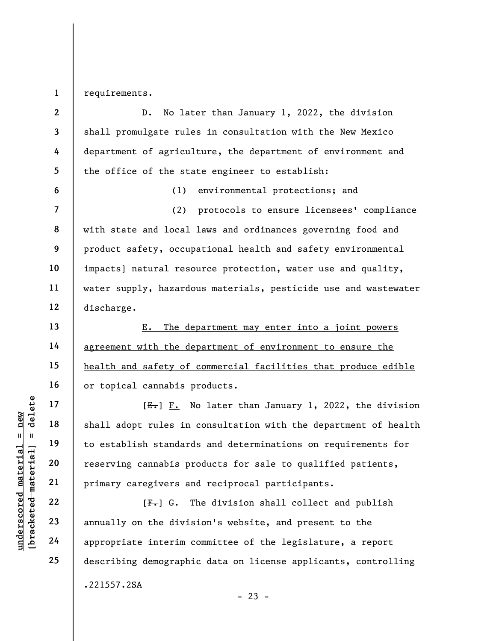1 requirements.

2 3 4 5 6 7 8 9 10 11 12 13 D. No later than January 1, 2022, the division shall promulgate rules in consultation with the New Mexico department of agriculture, the department of environment and the office of the state engineer to establish: (1) environmental protections; and (2) protocols to ensure licensees' compliance with state and local laws and ordinances governing food and product safety, occupational health and safety environmental impacts] natural resource protection, water use and quality, water supply, hazardous materials, pesticide use and wastewater discharge. E. The department may enter into a joint powers

agreement with the department of environment to ensure the health and safety of commercial facilities that produce edible or topical cannabis products.

UN E-J F. N<br>
and H = 18<br>
and H = 19<br>
and H = 19<br>
and to establish standard<br>
reserving cannabis pr<br>
primary caregivers are<br>
22<br>
23<br>
annually on the divis<br>
24<br>
appropriate interim c  $[E-] F.$  No later than January 1, 2022, the division shall adopt rules in consultation with the department of health to establish standards and determinations on requirements for reserving cannabis products for sale to qualified patients, primary caregivers and reciprocal participants.

 $[F<sub>1</sub>]$  G. The division shall collect and publish annually on the division's website, and present to the appropriate interim committee of the legislature, a report describing demographic data on license applicants, controlling .221557.2SA

14

15

16

17

18

19

20

21

22

23

24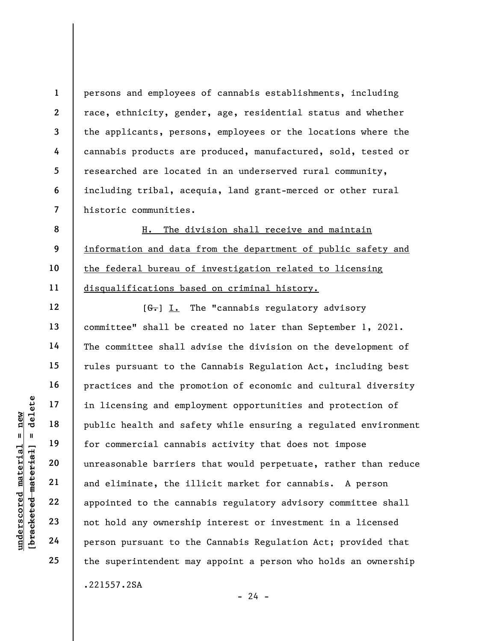persons and employees of cannabis establishments, including race, ethnicity, gender, age, residential status and whether the applicants, persons, employees or the locations where the cannabis products are produced, manufactured, sold, tested or researched are located in an underserved rural community, including tribal, acequia, land grant-merced or other rural historic communities.

H. The division shall receive and maintain information and data from the department of public safety and the federal bureau of investigation related to licensing disqualifications based on criminal history.

underscored material = new [bracketed material] = delete  $[6]$  I. The "cannabis regulatory advisory committee" shall be created no later than September 1, 2021. The committee shall advise the division on the development of rules pursuant to the Cannabis Regulation Act, including best practices and the promotion of economic and cultural diversity in licensing and employment opportunities and protection of public health and safety while ensuring a regulated environment for commercial cannabis activity that does not impose unreasonable barriers that would perpetuate, rather than reduce and eliminate, the illicit market for cannabis. A person appointed to the cannabis regulatory advisory committee shall not hold any ownership interest or investment in a licensed person pursuant to the Cannabis Regulation Act; provided that the superintendent may appoint a person who holds an ownership .221557.2SA

 $- 24 -$ 

1

2

3

4

5

6

7

8

9

10

11

12

13

14

15

16

17

18

19

20

21

22

23

24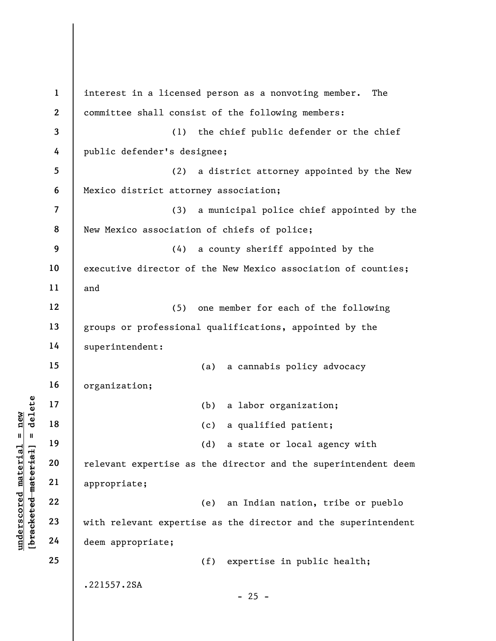under 17<br>
= new 17<br>
= new 18<br>
= 19<br>
= 20<br>
= 21<br>
= 22<br>
= 23<br>
= 24<br>
= 24<br>
= 29<br>
= 24<br>
= 29<br>
= 29<br>
= 29<br>
= 29<br>
= 29<br>
= 29<br>
= 29<br>
= 29<br>
= 29<br>
= 29<br>
= 29<br>
= 29<br>
= 29<br>
= 29<br>
= 29<br>
= 29<br>
= 29<br>
= 29<br>
= 29<br>
= 29<br>
= 29<br>
= 29<br>
= 29<br> 1 2 3 4 5 6 7 8 9 10 11 12 13 14 15 16 17 18 19 20 21 22 23 24 25 interest in a licensed person as a nonvoting member. The committee shall consist of the following members: (1) the chief public defender or the chief public defender's designee; (2) a district attorney appointed by the New Mexico district attorney association; (3) a municipal police chief appointed by the New Mexico association of chiefs of police; (4) a county sheriff appointed by the executive director of the New Mexico association of counties; and (5) one member for each of the following groups or professional qualifications, appointed by the superintendent: (a) a cannabis policy advocacy organization; (b) a labor organization; (c) a qualified patient; (d) a state or local agency with relevant expertise as the director and the superintendent deem appropriate; (e) an Indian nation, tribe or pueblo with relevant expertise as the director and the superintendent deem appropriate; (f) expertise in public health; .221557.2SA  $- 25 -$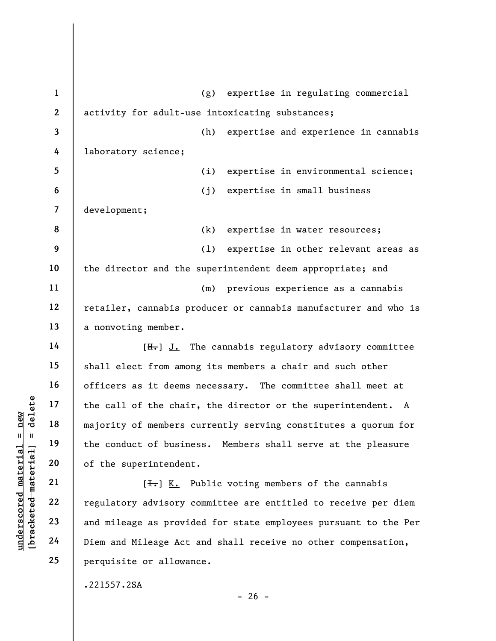underscored material of the chain<br>
majority of members of<br>
majority of members of<br>
the conduct of busine<br>
of the superintendent<br>
of the superintendent<br>
(I., E<br>
22<br>
regulatory advisory of<br>
23<br>
and mileage as provident<br>
24<br> 1 2 3 4 5 6 7 8 9 10 11 12 13 14 15 16 17 18 19 20 21 22 23 24 25 (g) expertise in regulating commercial activity for adult-use intoxicating substances; (h) expertise and experience in cannabis laboratory science; (i) expertise in environmental science; (j) expertise in small business development; (k) expertise in water resources; (l) expertise in other relevant areas as the director and the superintendent deem appropriate; and (m) previous experience as a cannabis retailer, cannabis producer or cannabis manufacturer and who is a nonvoting member.  $[H_r]$  J. The cannabis regulatory advisory committee shall elect from among its members a chair and such other officers as it deems necessary. The committee shall meet at the call of the chair, the director or the superintendent. A majority of members currently serving constitutes a quorum for the conduct of business. Members shall serve at the pleasure of the superintendent.  $[\frac{1}{\sqrt{1}}]$  K. Public voting members of the cannabis regulatory advisory committee are entitled to receive per diem and mileage as provided for state employees pursuant to the Per Diem and Mileage Act and shall receive no other compensation, perquisite or allowance. .221557.2SA

 $- 26 -$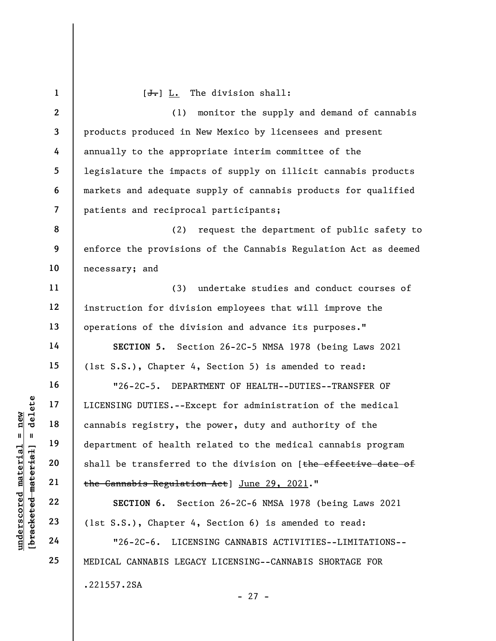|                      | $\mathbf{1}$            | $[\frac{J}{\cdot},]$ L. The division shall:                     |
|----------------------|-------------------------|-----------------------------------------------------------------|
|                      | $\mathbf{2}$            | monitor the supply and demand of cannabis<br>(1)                |
|                      | $\mathbf{3}$            | products produced in New Mexico by licensees and present        |
|                      | 4                       | annually to the appropriate interim committee of the            |
|                      | 5                       | legislature the impacts of supply on illicit cannabis products  |
|                      | 6                       | markets and adequate supply of cannabis products for qualified  |
|                      | $\overline{\mathbf{z}}$ | patients and reciprocal participants;                           |
|                      | 8                       | (2)<br>request the department of public safety to               |
|                      | 9                       | enforce the provisions of the Cannabis Regulation Act as deemed |
|                      | 10                      | necessary; and                                                  |
|                      | 11                      | (3)<br>undertake studies and conduct courses of                 |
|                      | 12                      | instruction for division employees that will improve the        |
|                      | 13                      | operations of the division and advance its purposes."           |
|                      | 14                      | SECTION 5. Section 26-2C-5 NMSA 1978 (being Laws 2021           |
|                      | 15                      | (1st S.S.), Chapter 4, Section 5) is amended to read:           |
|                      | 16                      | "26-2C-5. DEPARTMENT OF HEALTH--DUTIES--TRANSFER OF             |
| delete               | 17                      | LICENSING DUTIES. -- Except for administration of the medical   |
| $n$ ew               | 18                      | cannabis registry, the power, duty and authority of the         |
| Ш<br>H               | 19                      | department of health related to the medical cannabis program    |
| [bracketed material  | 20                      | shall be transferred to the division on [the effective date of  |
|                      | 21                      | the Cannabis Regulation Act] June 29, 2021."                    |
| underscored material | 22                      | SECTION 6. Section 26-2C-6 NMSA 1978 (being Laws 2021           |
|                      | 23                      | (1st S.S.), Chapter 4, Section 6) is amended to read:           |
|                      | 24                      | $"26-2C-6.$<br>LICENSING CANNABIS ACTIVITIES--LIMITATIONS--     |
|                      | 25                      | MEDICAL CANNABIS LEGACY LICENSING--CANNABIS SHORTAGE FOR        |
|                      |                         | .221557.2SA                                                     |

- 27 -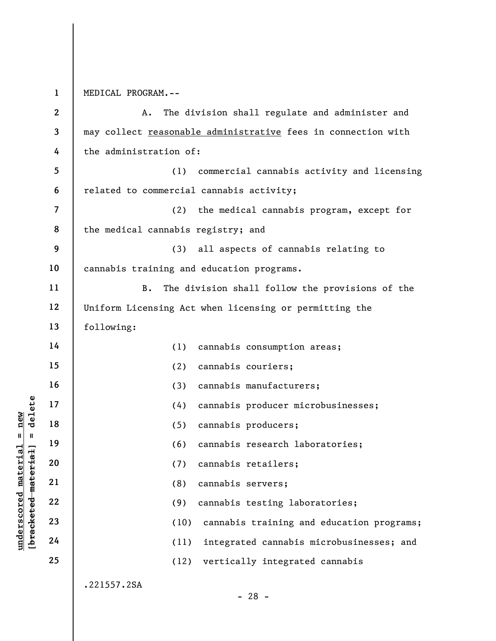1 MEDICAL PROGRAM.--

|                                | $\mathbf{2}$            | The division shall regulate and administer and<br>A.          |
|--------------------------------|-------------------------|---------------------------------------------------------------|
|                                | 3                       | may collect reasonable administrative fees in connection with |
|                                | 4                       | the administration of:                                        |
|                                | 5                       | (1)<br>commercial cannabis activity and licensing             |
|                                | 6                       | related to commercial cannabis activity;                      |
|                                | $\overline{\mathbf{7}}$ | the medical cannabis program, except for<br>(2)               |
|                                | 8                       | the medical cannabis registry; and                            |
|                                | 9                       | (3)<br>all aspects of cannabis relating to                    |
|                                | 10                      | cannabis training and education programs.                     |
|                                | 11                      | <b>B.</b><br>The division shall follow the provisions of the  |
|                                | 12                      | Uniform Licensing Act when licensing or permitting the        |
|                                | 13                      | following:                                                    |
|                                | 14                      | (1)<br>cannabis consumption areas;                            |
|                                | 15                      | cannabis couriers;<br>(2)                                     |
|                                | 16                      | cannabis manufacturers;<br>(3)                                |
| delete                         | 17                      | (4)<br>cannabis producer microbusinesses;                     |
| new                            | 18                      | cannabis producers;<br>(5)                                    |
| $\blacksquare$<br>$\mathbf{I}$ | 19                      | (6)<br>cannabis research laboratories;                        |
| [4a]<br>rial                   | 20                      | cannabis retailers;<br>(7)                                    |
| mate                           | 21                      | (8)<br>cannabis servers;                                      |
| [bracketed mater               | 22                      | (9)<br>cannabis testing laboratories;                         |
| $\bm{{\rm underscore}}$        | 23                      | cannabis training and education programs;<br>(10)             |
|                                | 24                      | integrated cannabis microbusinesses; and<br>(11)              |
|                                | 25                      | vertically integrated cannabis<br>(12)                        |
|                                |                         | .221557.2SA<br>$-28 -$                                        |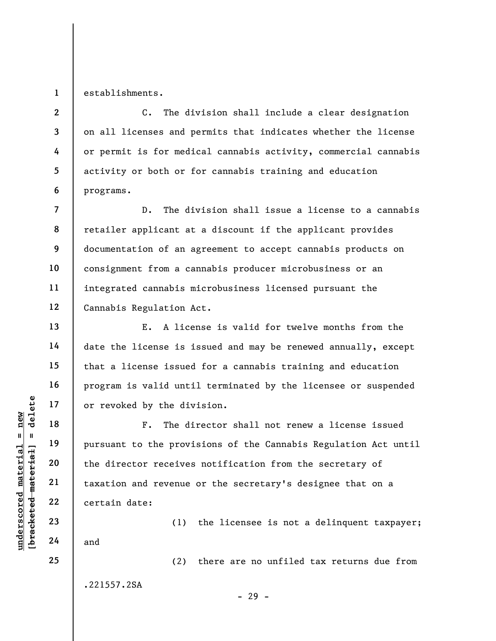1 establishments.

2

3

4

5

6

7

8

9

10

11

12

13

14

15

16

17

18

19

20

21

22

23

24

25

C. The division shall include a clear designation on all licenses and permits that indicates whether the license or permit is for medical cannabis activity, commercial cannabis activity or both or for cannabis training and education programs.

D. The division shall issue a license to a cannabis retailer applicant at a discount if the applicant provides documentation of an agreement to accept cannabis products on consignment from a cannabis producer microbusiness or an integrated cannabis microbusiness licensed pursuant the Cannabis Regulation Act.

E. A license is valid for twelve months from the date the license is issued and may be renewed annually, except that a license issued for a cannabis training and education program is valid until terminated by the licensee or suspended or revoked by the division.

underscored material = new [bracketed material] = delete F. The director shall not renew a license issued pursuant to the provisions of the Cannabis Regulation Act until the director receives notification from the secretary of taxation and revenue or the secretary's designee that on a certain date:

(1) the licensee is not a delinquent taxpayer; and

(2) there are no unfiled tax returns due from

.221557.2SA

- 29 -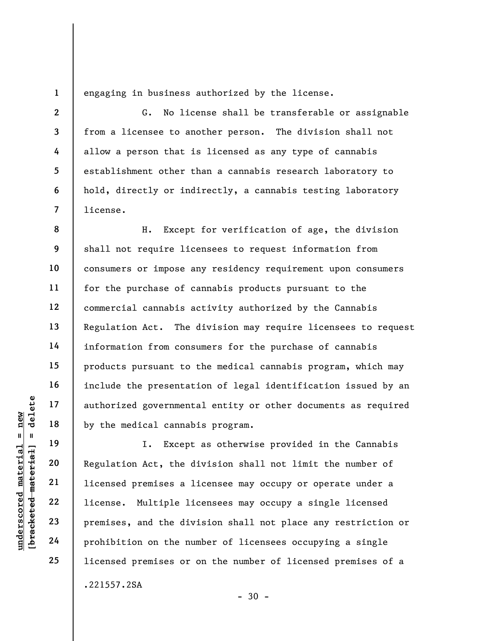engaging in business authorized by the license.

G. No license shall be transferable or assignable from a licensee to another person. The division shall not allow a person that is licensed as any type of cannabis establishment other than a cannabis research laboratory to hold, directly or indirectly, a cannabis testing laboratory license.

9 10 11 12 14 18 H. Except for verification of age, the division shall not require licensees to request information from consumers or impose any residency requirement upon consumers for the purchase of cannabis products pursuant to the commercial cannabis activity authorized by the Cannabis Regulation Act. The division may require licensees to request information from consumers for the purchase of cannabis products pursuant to the medical cannabis program, which may include the presentation of legal identification issued by an authorized governmental entity or other documents as required by the medical cannabis program.

understand the medical cannability<br>  $\begin{array}{c|c|c} \mathbf{u} & \mathbf{u} & \mathbf{u} & \mathbf{u} & \mathbf{u} & \mathbf{u} & \mathbf{u} & \mathbf{u} & \mathbf{u} & \mathbf{u} & \mathbf{u} & \mathbf{u} & \mathbf{u} & \mathbf{u} & \mathbf{u} & \mathbf{u} & \mathbf{u} & \mathbf{u} & \mathbf{u} & \mathbf{u} & \mathbf{u} & \mathbf{u} & \mathbf{u} & \mathbf{u} & \mathbf{u}$ I. Except as otherwise provided in the Cannabis Regulation Act, the division shall not limit the number of licensed premises a licensee may occupy or operate under a license. Multiple licensees may occupy a single licensed premises, and the division shall not place any restriction or prohibition on the number of licensees occupying a single licensed premises or on the number of licensed premises of a .221557.2SA

 $-30 -$ 

1

2

3

4

5

6

7

8

13

15

16

17

19

20

21

22

23

24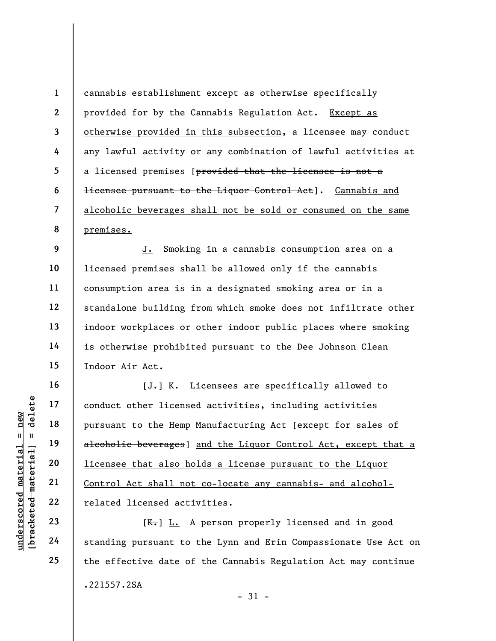8 cannabis establishment except as otherwise specifically provided for by the Cannabis Regulation Act. Except as otherwise provided in this subsection, a licensee may conduct any lawful activity or any combination of lawful activities at a licensed premises [provided that the licensee is not a licensee pursuant to the Liquor Control Act]. Cannabis and alcoholic beverages shall not be sold or consumed on the same premises.

12 J. Smoking in a cannabis consumption area on a licensed premises shall be allowed only if the cannabis consumption area is in a designated smoking area or in a standalone building from which smoke does not infiltrate other indoor workplaces or other indoor public places where smoking is otherwise prohibited pursuant to the Dee Johnson Clean Indoor Air Act.

under 17<br>
and 18<br>
under 18<br>
material 19<br>
alcoholic beverages]<br>
alcoholic beverages]<br>
20<br>
<u>licensee that also hote</u><br>
21<br>
<u>Control Act shall not</u><br>
22<br>
<u>related licensed actions</u><br>
24<br>
standing pursuant to  $[\frac{1}{\sqrt{1}}]$  K. Licensees are specifically allowed to conduct other licensed activities, including activities pursuant to the Hemp Manufacturing Act [except for sales of alcoholic beverages] and the Liquor Control Act, except that a licensee that also holds a license pursuant to the Liquor Control Act shall not co-locate any cannabis- and alcoholrelated licensed activities.

[ $K -$ ] L. A person properly licensed and in good standing pursuant to the Lynn and Erin Compassionate Use Act on the effective date of the Cannabis Regulation Act may continue .221557.2SA  $-31 -$ 

1

2

3

4

5

6

7

9

10

11

13

14

15

16

17

18

19

20

21

22

23

24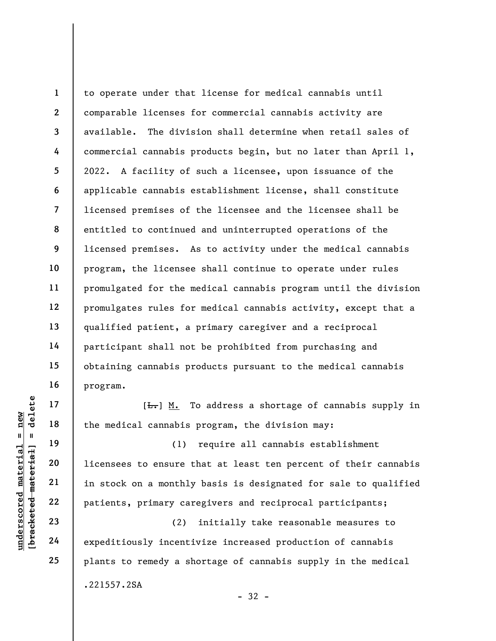1 2 3 4 5 6 7 8 9 10 11 12 13 14 15 16 to operate under that license for medical cannabis until comparable licenses for commercial cannabis activity are available. The division shall determine when retail sales of commercial cannabis products begin, but no later than April 1, 2022. A facility of such a licensee, upon issuance of the applicable cannabis establishment license, shall constitute licensed premises of the licensee and the licensee shall be entitled to continued and uninterrupted operations of the licensed premises. As to activity under the medical cannabis program, the licensee shall continue to operate under rules promulgated for the medical cannabis program until the division promulgates rules for medical cannabis activity, except that a qualified patient, a primary caregiver and a reciprocal participant shall not be prohibited from purchasing and obtaining cannabis products pursuant to the medical cannabis program.

 $[\frac{L}{\sqrt{L}}]$  M. To address a shortage of cannabis supply in the medical cannabis program, the division may:

underscored material = new [bracketed material] = delete (1) require all cannabis establishment licensees to ensure that at least ten percent of their cannabis in stock on a monthly basis is designated for sale to qualified patients, primary caregivers and reciprocal participants;

(2) initially take reasonable measures to expeditiously incentivize increased production of cannabis plants to remedy a shortage of cannabis supply in the medical .221557.2SA

17

18

19

20

21

22

23

24

25

- 32 -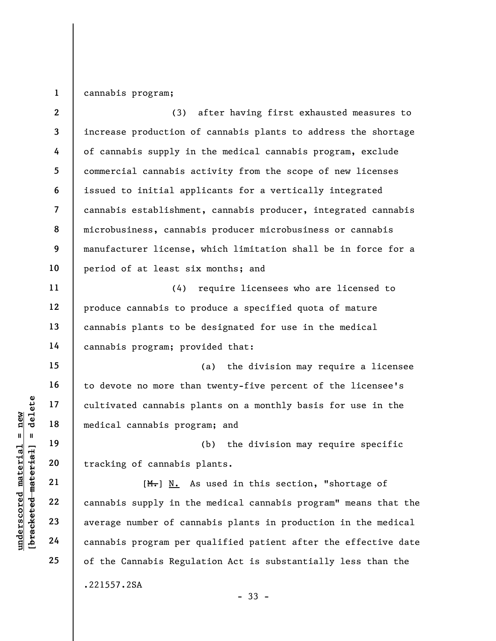1 cannabis program;

underscored material = new [bracketed material] = delete 2 3 4 5 6 7 8 9 10 11 12 13 14 15 16 17 18 19 20 21 22 23 24 25 (3) after having first exhausted measures to increase production of cannabis plants to address the shortage of cannabis supply in the medical cannabis program, exclude commercial cannabis activity from the scope of new licenses issued to initial applicants for a vertically integrated cannabis establishment, cannabis producer, integrated cannabis microbusiness, cannabis producer microbusiness or cannabis manufacturer license, which limitation shall be in force for a period of at least six months; and (4) require licensees who are licensed to produce cannabis to produce a specified quota of mature cannabis plants to be designated for use in the medical cannabis program; provided that: (a) the division may require a licensee to devote no more than twenty-five percent of the licensee's cultivated cannabis plants on a monthly basis for use in the medical cannabis program; and (b) the division may require specific tracking of cannabis plants. [M.] N. As used in this section, "shortage of cannabis supply in the medical cannabis program" means that the average number of cannabis plants in production in the medical cannabis program per qualified patient after the effective date of the Cannabis Regulation Act is substantially less than the .221557.2SA - 33 -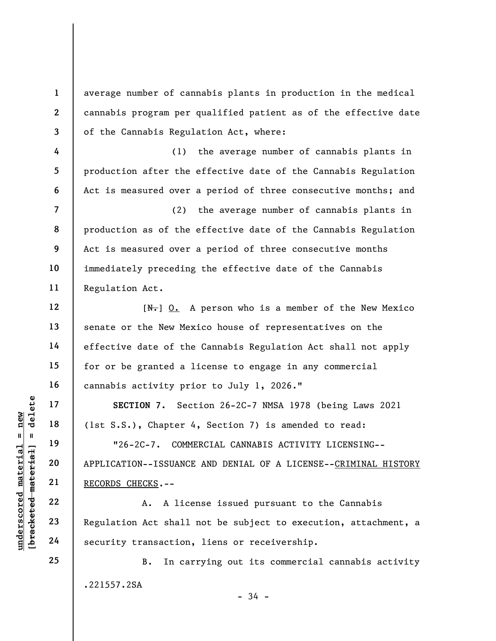average number of cannabis plants in production in the medical cannabis program per qualified patient as of the effective date of the Cannabis Regulation Act, where:

(1) the average number of cannabis plants in production after the effective date of the Cannabis Regulation Act is measured over a period of three consecutive months; and

(2) the average number of cannabis plants in production as of the effective date of the Cannabis Regulation Act is measured over a period of three consecutive months immediately preceding the effective date of the Cannabis Regulation Act.

 $[N-]$  O. A person who is a member of the New Mexico senate or the New Mexico house of representatives on the effective date of the Cannabis Regulation Act shall not apply for or be granted a license to engage in any commercial cannabis activity prior to July 1, 2026."

SECTION 7. Section 26-2C-7 NMSA 1978 (being Laws 2021 (1st S.S.), Chapter 4, Section 7) is amended to read:

UN SECTION 7. Sec (15 S.S.), Chapter 4<br>
19 (1st S.S.), Chapter 4<br>
19 "26-2C-7. COMMI<br>
20 APPLICATION--ISSUANCE<br>
22 (RECORDS CHECKS.--<br>
22 (A. A lice<br>
23 Regulation Act shall<br>
24 Security transaction, "26-2C-7. COMMERCIAL CANNABIS ACTIVITY LICENSING-- APPLICATION--ISSUANCE AND DENIAL OF A LICENSE--CRIMINAL HISTORY RECORDS CHECKS.--

A. A license issued pursuant to the Cannabis Regulation Act shall not be subject to execution, attachment, a security transaction, liens or receivership.

B. In carrying out its commercial cannabis activity .221557.2SA

- 34 -

1

2

3

4

5

6

7

8

9

10

11

12

13

14

15

16

17

18

19

20

21

22

23

24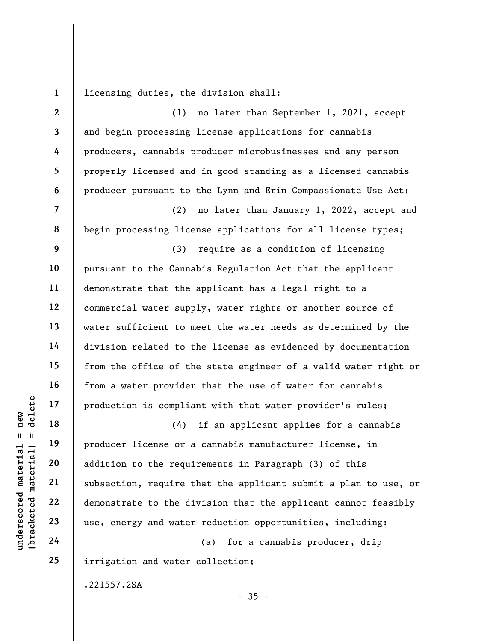1 licensing duties, the division shall:

2 3 4 5 6 7 8 9 10 11 12 13 14 15 16 17 18 19 (1) no later than September 1, 2021, accept and begin processing license applications for cannabis producers, cannabis producer microbusinesses and any person properly licensed and in good standing as a licensed cannabis producer pursuant to the Lynn and Erin Compassionate Use Act; (2) no later than January 1, 2022, accept and begin processing license applications for all license types; (3) require as a condition of licensing pursuant to the Cannabis Regulation Act that the applicant demonstrate that the applicant has a legal right to a commercial water supply, water rights or another source of water sufficient to meet the water needs as determined by the division related to the license as evidenced by documentation from the office of the state engineer of a valid water right or from a water provider that the use of water for cannabis production is compliant with that water provider's rules; (4) if an applicant applies for a cannabis producer license or a cannabis manufacturer license, in

underscored material = new [bracketed material] = delete addition to the requirements in Paragraph (3) of this subsection, require that the applicant submit a plan to use, or demonstrate to the division that the applicant cannot feasibly use, energy and water reduction opportunities, including:

 $-35 -$ 

(a) for a cannabis producer, drip irrigation and water collection;

.221557.2SA

20

21

22

23

24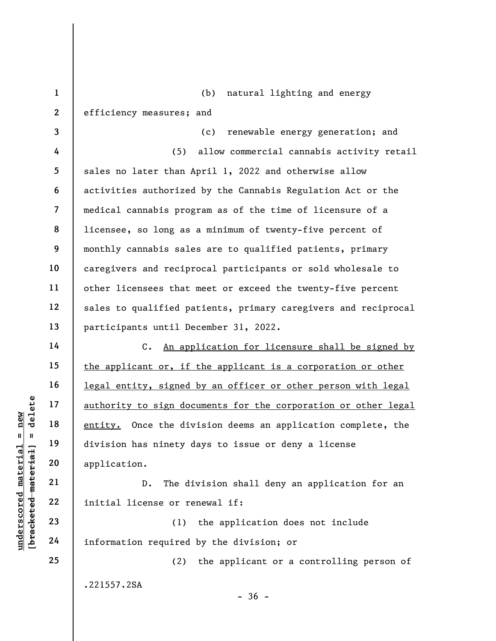underscored material = new [bracketed material] = delete 1 2 3 4 5 6 7 8 9 10 11 12 13 14 15 16 17 18 19 20 21 (b) natural lighting and energy efficiency measures; and (c) renewable energy generation; and (5) allow commercial cannabis activity retail sales no later than April 1, 2022 and otherwise allow activities authorized by the Cannabis Regulation Act or the medical cannabis program as of the time of licensure of a licensee, so long as a minimum of twenty-five percent of monthly cannabis sales are to qualified patients, primary caregivers and reciprocal participants or sold wholesale to other licensees that meet or exceed the twenty-five percent sales to qualified patients, primary caregivers and reciprocal participants until December 31, 2022. C. An application for licensure shall be signed by the applicant or, if the applicant is a corporation or other legal entity, signed by an officer or other person with legal authority to sign documents for the corporation or other legal entity. Once the division deems an application complete, the division has ninety days to issue or deny a license application. D. The division shall deny an application for an

(1) the application does not include information required by the division; or

initial license or renewal if:

(2) the applicant or a controlling person of .221557.2SA

 $-36 -$ 

24 25

22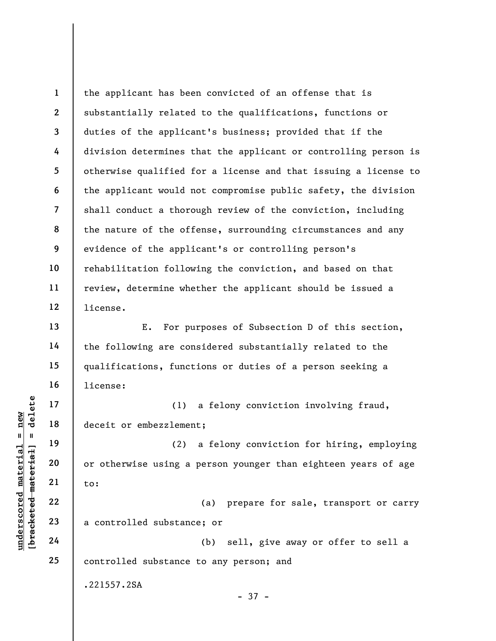1 2 3 4 5 6 7 8 9 10 11 12 the applicant has been convicted of an offense that is substantially related to the qualifications, functions or duties of the applicant's business; provided that if the division determines that the applicant or controlling person is otherwise qualified for a license and that issuing a license to the applicant would not compromise public safety, the division shall conduct a thorough review of the conviction, including the nature of the offense, surrounding circumstances and any evidence of the applicant's or controlling person's rehabilitation following the conviction, and based on that review, determine whether the applicant should be issued a license.

E. For purposes of Subsection D of this section, the following are considered substantially related to the qualifications, functions or duties of a person seeking a license:

(1) a felony conviction involving fraud, deceit or embezzlement;

underschiff and the set of embezzlement<br>
and the set of embezzlement<br>
and the set of embezzlement<br>
and the set of embezzlement<br>
21<br>
22<br>
23<br>
24<br>
24<br>
24 (2) a felony conviction for hiring, employing or otherwise using a person younger than eighteen years of age to:

(a) prepare for sale, transport or carry a controlled substance; or

(b) sell, give away or offer to sell a controlled substance to any person; and

.221557.2SA

- 37 -

13

14

15

16

17

18

19

20

21

22

23

24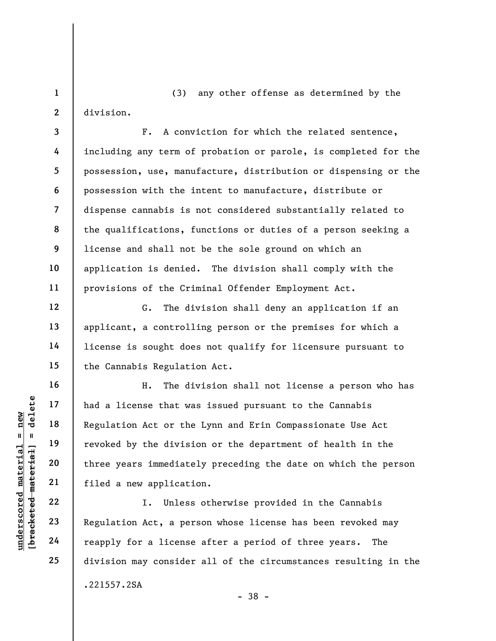(3) any other offense as determined by the division.

F. A conviction for which the related sentence, including any term of probation or parole, is completed for the possession, use, manufacture, distribution or dispensing or the possession with the intent to manufacture, distribute or dispense cannabis is not considered substantially related to the qualifications, functions or duties of a person seeking a license and shall not be the sole ground on which an application is denied. The division shall comply with the provisions of the Criminal Offender Employment Act.

G. The division shall deny an application if an applicant, a controlling person or the premises for which a license is sought does not qualify for licensure pursuant to the Cannabis Regulation Act.

underscored material = new [bracketed material] = delete H. The division shall not license a person who has had a license that was issued pursuant to the Cannabis Regulation Act or the Lynn and Erin Compassionate Use Act revoked by the division or the department of health in the three years immediately preceding the date on which the person filed a new application.

I. Unless otherwise provided in the Cannabis Regulation Act, a person whose license has been revoked may reapply for a license after a period of three years. The division may consider all of the circumstances resulting in the .221557.2SA - 38 -

1

2

3

4

5

6

7

8

9

10

11

12

13

14

15

16

17

18

19

20

21

22

23

24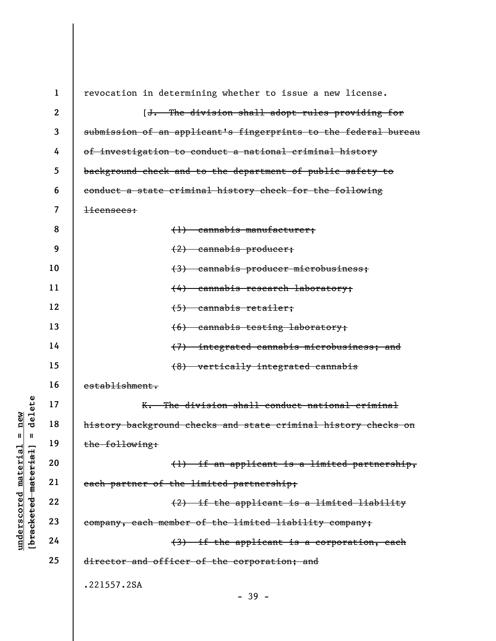|                         | $\mathbf 1$      | revocation in determining whether to issue a new license.       |
|-------------------------|------------------|-----------------------------------------------------------------|
|                         | $\boldsymbol{2}$ | [J. The division shall adopt rules providing for                |
|                         | 3                | submission of an applicant's fingerprints to the federal bureau |
|                         | 4                | of investigation to conduct a national criminal history         |
|                         | 5                | background check and to the department of public safety to      |
|                         | 6                | conduct a state criminal history check for the following        |
|                         | 7                | <del>licensees:</del>                                           |
|                         | 8                | $(1)$ cannabis manufacturer;                                    |
|                         | 9                | $(2)$ cannabis producer;                                        |
|                         | 10               | (3) cannabis producer microbusiness;                            |
|                         | 11               | (4) cannabis research laboratory;                               |
|                         | 12               | $(5)$ cannabis retailer;                                        |
|                         | 13               | (6) cannabis testing laboratory;                                |
|                         | 14               | (7) integrated cannabis microbusiness; and                      |
|                         | 15               | (8) vertically integrated cannabis                              |
|                         | 16               | establishment.                                                  |
| delete                  | 17               | K. The division shall conduct national criminal                 |
| $n$ ew                  | 18               | history background checks and state criminal history checks on  |
| Ш<br>- II               | 19               | the following:                                                  |
| material<br>meterial    | 20               | (1) if an applicant is a limited partnership,                   |
|                         | 21               | each partner of the limited partnership;                        |
| underscored             | 22               | (2) if the applicant is a limited liability                     |
| [ <del>brack</del> eted | 23               | company, each member of the limited liability company;          |
|                         | 24               | (3) if the applicant is a corporation, each                     |
|                         | 25               | director and officer of the corporation; and                    |
|                         |                  | .221557.2SA                                                     |
|                         |                  | - 39 -                                                          |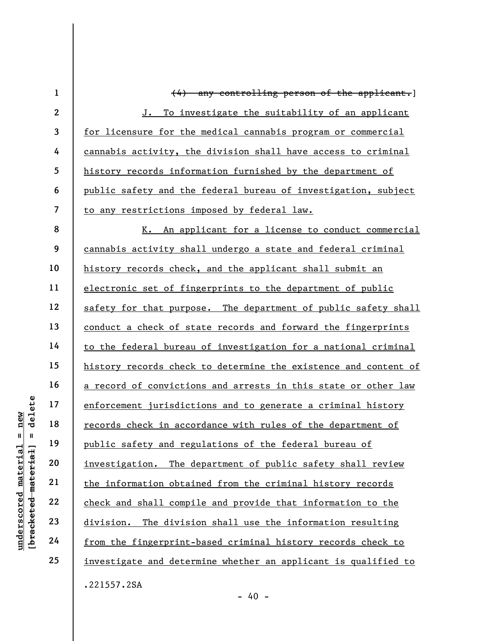underscored material = new [bracketed material] = delete 1 2 3 4 5 6 7 8 9 10 11 12 13 14 15 16 17 18 19 20 21 22 23 24 25 (4) any controlling person of the applicant.] J. To investigate the suitability of an applicant for licensure for the medical cannabis program or commercial cannabis activity, the division shall have access to criminal history records information furnished by the department of public safety and the federal bureau of investigation, subject to any restrictions imposed by federal law. K. An applicant for a license to conduct commercial cannabis activity shall undergo a state and federal criminal history records check, and the applicant shall submit an electronic set of fingerprints to the department of public safety for that purpose. The department of public safety shall conduct a check of state records and forward the fingerprints to the federal bureau of investigation for a national criminal history records check to determine the existence and content of a record of convictions and arrests in this state or other law enforcement jurisdictions and to generate a criminal history records check in accordance with rules of the department of public safety and regulations of the federal bureau of investigation. The department of public safety shall review the information obtained from the criminal history records check and shall compile and provide that information to the division. The division shall use the information resulting from the fingerprint-based criminal history records check to investigate and determine whether an applicant is qualified to .221557.2SA

 $- 40 -$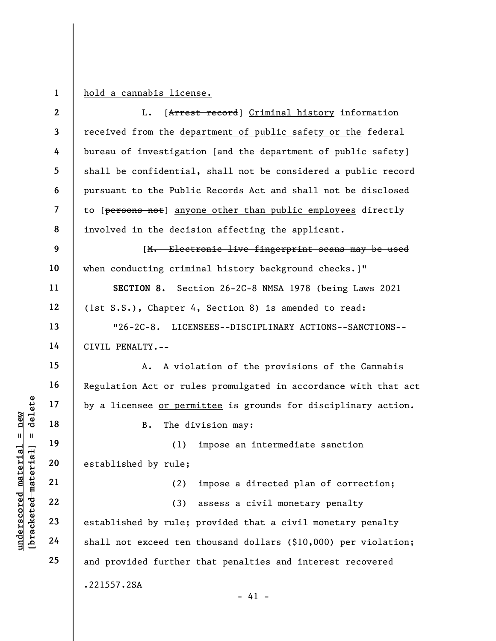1

hold a cannabis license.

|                         | $\mathbf{2}$   | [Arrest record] Criminal history information<br>L.              |
|-------------------------|----------------|-----------------------------------------------------------------|
|                         | 3              | received from the department of public safety or the federal    |
|                         | 4              | bureau of investigation [and the department of public safety]   |
|                         | 5              | shall be confidential, shall not be considered a public record  |
|                         | 6              | pursuant to the Public Records Act and shall not be disclosed   |
|                         | $\overline{7}$ | to [persons not] anyone other than public employees directly    |
|                         | 8              | involved in the decision affecting the applicant.               |
|                         | 9              | [M. Electronic live fingerprint scans may be used               |
|                         | 10             | when conducting criminal history background checks.]"           |
|                         | 11             | SECTION 8. Section 26-2C-8 NMSA 1978 (being Laws 2021           |
|                         | 12             | (1st S.S.), Chapter 4, Section 8) is amended to read:           |
|                         | 13             | "26-2C-8. LICENSEES--DISCIPLINARY ACTIONS--SANCTIONS--          |
|                         | 14             | CIVIL PENALTY.--                                                |
|                         | 15             | A violation of the provisions of the Cannabis<br>Α.             |
|                         | 16             | Regulation Act or rules promulgated in accordance with that act |
| delete                  | 17             | by a licensee or permittee is grounds for disciplinary action.  |
| new                     | 18             | B.<br>The division may:                                         |
| Ш<br>Ш                  | 19             | (1)<br>impose an intermediate sanction                          |
| $H$ : $H$<br>material   | 20             | established by rule;                                            |
| [bracketed mate;        | 21             | impose a directed plan of correction;<br>(2)                    |
|                         | 22             | (3)<br>assess a civil monetary penalty                          |
| $\bm{{\rm underscore}}$ | 23             | established by rule; provided that a civil monetary penalty     |
|                         | 24             | shall not exceed ten thousand dollars (\$10,000) per violation; |
|                         | 25             | and provided further that penalties and interest recovered      |
|                         |                | .221557.2SA<br>$-41 -$                                          |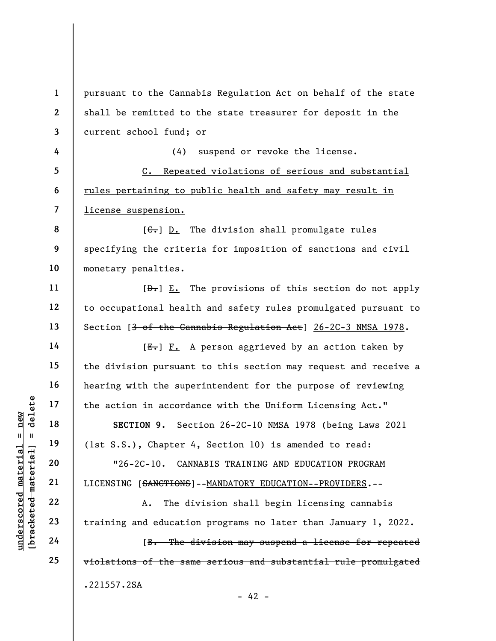underscored material = new [bracketed material] = delete 1 2 3 4 5 6 7 8 9 10 11 12 13 14 15 16 17 18 19 20 21 22 23 24 25 pursuant to the Cannabis Regulation Act on behalf of the state shall be remitted to the state treasurer for deposit in the current school fund; or (4) suspend or revoke the license. C. Repeated violations of serious and substantial rules pertaining to public health and safety may result in license suspension.  $[G<sub>1</sub>]$  D. The division shall promulgate rules specifying the criteria for imposition of sanctions and civil monetary penalties.  $[\frac{\theta}{\theta}]$  E. The provisions of this section do not apply to occupational health and safety rules promulgated pursuant to Section [<del>3 of the Cannabis Regulation Act</del>] 26-2C-3 NMSA 1978.  $[E-]$   $F.$  A person aggrieved by an action taken by the division pursuant to this section may request and receive a hearing with the superintendent for the purpose of reviewing the action in accordance with the Uniform Licensing Act." SECTION 9. Section 26-2C-10 NMSA 1978 (being Laws 2021 (1st S.S.), Chapter 4, Section 10) is amended to read: "26-2C-10. CANNABIS TRAINING AND EDUCATION PROGRAM LICENSING [<del>SANCTIONS</del>]--MANDATORY EDUCATION--PROVIDERS.--A. The division shall begin licensing cannabis training and education programs no later than January 1, 2022. [B. The division may suspend a license for repeated violations of the same serious and substantial rule promulgated .221557.2SA

 $- 42 -$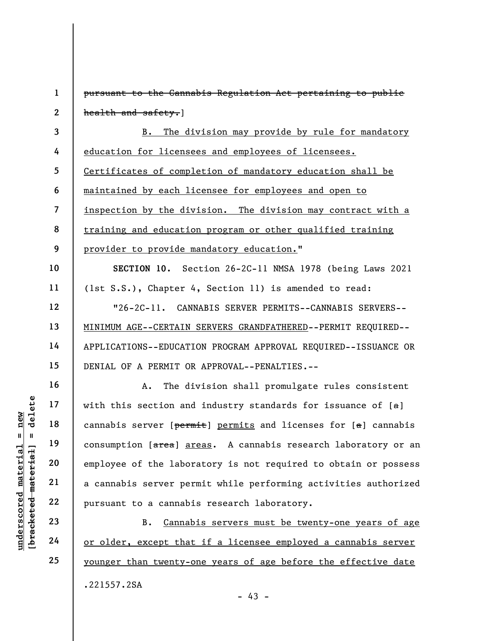under 17<br>
under 18<br>
under 19<br>
under 19<br>
under 19<br>
under 19<br>
employee of the labor<br>
a cannabis server per<br>
a cannabis server per<br>
a cannabis server per<br>
a cannabis server per<br>
22<br>
pursuant to a cannabi<br>
24<br>
<u>or older, excep</u> 1 2 3 4 5 6 7 8 9 10 11 12 13 14 15 16 17 18 19 20 21 22 23 24 pursuant to the Cannabis Regulation Act pertaining to public health and safety.] B. The division may provide by rule for mandatory education for licensees and employees of licensees. Certificates of completion of mandatory education shall be maintained by each licensee for employees and open to inspection by the division. The division may contract with a training and education program or other qualified training provider to provide mandatory education." SECTION 10. Section 26-2C-11 NMSA 1978 (being Laws 2021 (1st S.S.), Chapter 4, Section 11) is amended to read: "26-2C-11. CANNABIS SERVER PERMITS--CANNABIS SERVERS-- MINIMUM AGE--CERTAIN SERVERS GRANDFATHERED--PERMIT REQUIRED-- APPLICATIONS--EDUCATION PROGRAM APPROVAL REQUIRED--ISSUANCE OR DENIAL OF A PERMIT OR APPROVAL--PENALTIES.-- A. The division shall promulgate rules consistent with this section and industry standards for issuance of  $[a]$ cannabis server [permit] permits and licenses for [a] cannabis consumption [area] areas. A cannabis research laboratory or an employee of the laboratory is not required to obtain or possess a cannabis server permit while performing activities authorized pursuant to a cannabis research laboratory. B. Cannabis servers must be twenty-one years of age or older, except that if a licensee employed a cannabis server

25

.221557.2SA

younger than twenty-one years of age before the effective date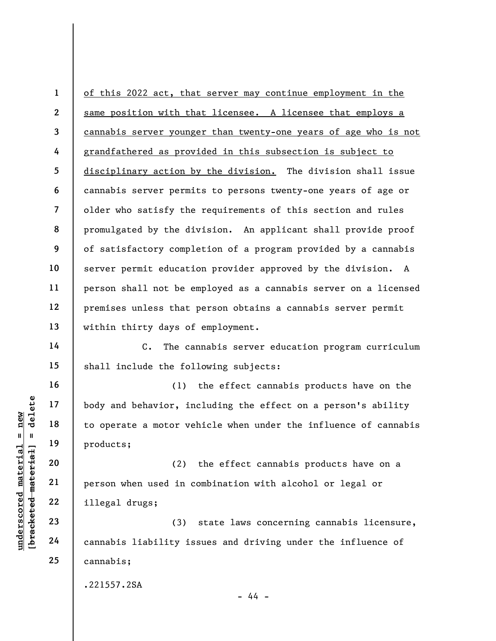1 2 3 4 5 6 7 8 9 10 11 12 13 of this 2022 act, that server may continue employment in the same position with that licensee. A licensee that employs a cannabis server younger than twenty-one years of age who is not grandfathered as provided in this subsection is subject to disciplinary action by the division. The division shall issue cannabis server permits to persons twenty-one years of age or older who satisfy the requirements of this section and rules promulgated by the division. An applicant shall provide proof of satisfactory completion of a program provided by a cannabis server permit education provider approved by the division. A person shall not be employed as a cannabis server on a licensed premises unless that person obtains a cannabis server permit within thirty days of employment.

C. The cannabis server education program curriculum shall include the following subjects:

understand material end of the set of the set of the set of the set of the set of the set of the set of the set of the set of the set of the set of the set of the set of the set of the set of the set of the set of the set (1) the effect cannabis products have on the body and behavior, including the effect on a person's ability to operate a motor vehicle when under the influence of cannabis products;

(2) the effect cannabis products have on a person when used in combination with alcohol or legal or illegal drugs;

(3) state laws concerning cannabis licensure, cannabis liability issues and driving under the influence of cannabis;

.221557.2SA

- 44 -

14

15

16

17

18

19

20

21

22

23

24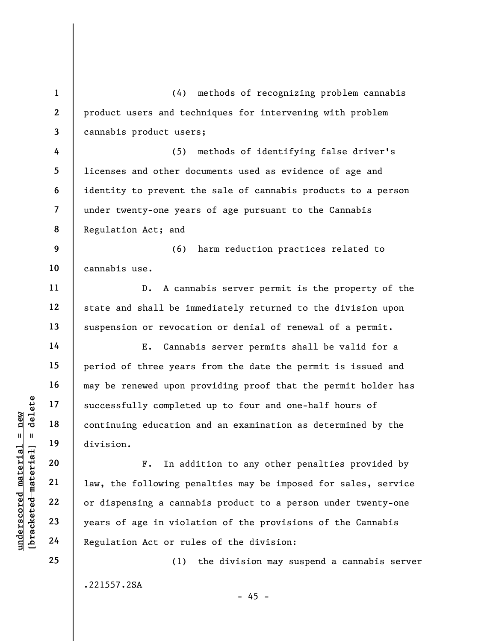underscored material = new [bracketed material] = delete 1 2 3 4 5 6 7 8 9 10 11 12 13 14 15 16 17 18 19 20 21 22 23 24 25 (4) methods of recognizing problem cannabis product users and techniques for intervening with problem cannabis product users; (5) methods of identifying false driver's licenses and other documents used as evidence of age and identity to prevent the sale of cannabis products to a person under twenty-one years of age pursuant to the Cannabis Regulation Act; and (6) harm reduction practices related to cannabis use. D. A cannabis server permit is the property of the state and shall be immediately returned to the division upon suspension or revocation or denial of renewal of a permit. E. Cannabis server permits shall be valid for a period of three years from the date the permit is issued and may be renewed upon providing proof that the permit holder has successfully completed up to four and one-half hours of continuing education and an examination as determined by the division. F. In addition to any other penalties provided by law, the following penalties may be imposed for sales, service or dispensing a cannabis product to a person under twenty-one years of age in violation of the provisions of the Cannabis Regulation Act or rules of the division: (1) the division may suspend a cannabis server

.221557.2SA

 $- 45 -$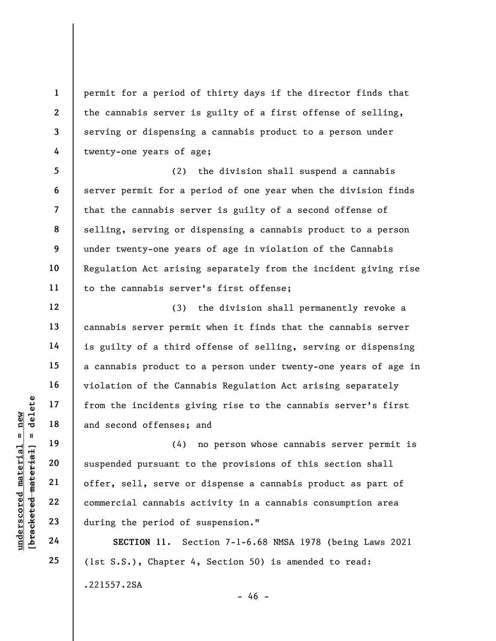permit for a period of thirty days if the director finds that the cannabis server is guilty of a first offense of selling, serving or dispensing a cannabis product to a person under twenty-one years of age;

8 (2) the division shall suspend a cannabis server permit for a period of one year when the division finds that the cannabis server is guilty of a second offense of selling, serving or dispensing a cannabis product to a person under twenty-one years of age in violation of the Cannabis Regulation Act arising separately from the incident giving rise to the cannabis server's first offense;

(3) the division shall permanently revoke a cannabis server permit when it finds that the cannabis server is guilty of a third offense of selling, serving or dispensing a cannabis product to a person under twenty-one years of age in violation of the Cannabis Regulation Act arising separately from the incidents giving rise to the cannabis server's first and second offenses; and

underscored material cannot commercial cannot commercial cannot commercial cannot commercial cannot commercial cannot commercial cannot commercial cannot commercial cannot commercial cannot commercial cannot commercial can (4) no person whose cannabis server permit is suspended pursuant to the provisions of this section shall offer, sell, serve or dispense a cannabis product as part of commercial cannabis activity in a cannabis consumption area during the period of suspension."

SECTION 11. Section 7-1-6.68 NMSA 1978 (being Laws 2021 (1st S.S.), Chapter 4, Section 50) is amended to read: .221557.2SA - 46 -

1

2

3

4

5

6

7

9

10

11

12

13

14

15

16

17

18

19

20

21

22

23

24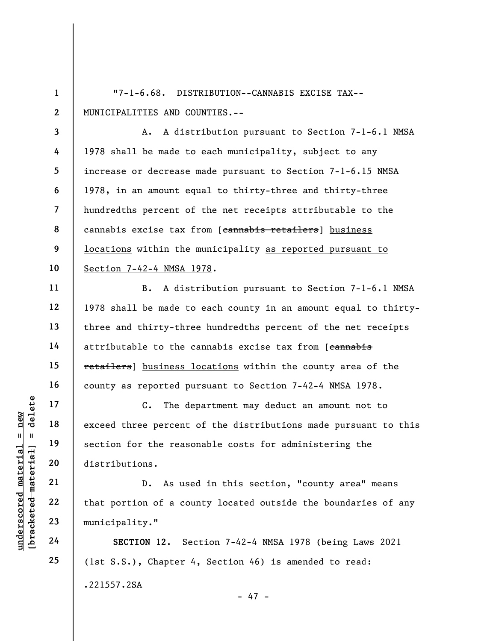1 2 "7-1-6.68. DISTRIBUTION--CANNABIS EXCISE TAX-- MUNICIPALITIES AND COUNTIES.--

A. A distribution pursuant to Section 7-1-6.1 NMSA 1978 shall be made to each municipality, subject to any increase or decrease made pursuant to Section 7-1-6.15 NMSA 1978, in an amount equal to thirty-three and thirty-three hundredths percent of the net receipts attributable to the cannabis excise tax from [cannabis retailers] business locations within the municipality as reported pursuant to Section 7-42-4 NMSA 1978.

B. A distribution pursuant to Section 7-1-6.1 NMSA 1978 shall be made to each county in an amount equal to thirtythree and thirty-three hundredths percent of the net receipts attributable to the cannabis excise tax from [cannabis retailers] business locations within the county area of the county as reported pursuant to Section 7-42-4 NMSA 1978.

understand the percent<br>  $\begin{array}{c|c|c|c} \n\text{u} & \text{u} & \text{u} & \text{u} & \text{u} & \text{u} & \text{u} & \text{u} & \text{u} & \text{u} & \text{u} & \text{u} & \text{u} & \text{u} & \text{u} & \text{u} & \text{u} & \text{u} & \text{u} & \text{u} & \text{u} & \text{u} & \text{u} & \text{u} & \text{u} & \text{u} & \text{u} & \text{u} & \text{u} & \text{u} & \text$ C. The department may deduct an amount not to exceed three percent of the distributions made pursuant to this section for the reasonable costs for administering the distributions.

D. As used in this section, "county area" means that portion of a county located outside the boundaries of any municipality."

SECTION 12. Section 7-42-4 NMSA 1978 (being Laws 2021 (1st S.S.), Chapter 4, Section 46) is amended to read: .221557.2SA - 47 -

3

4

5

6

7

8

9

10

11

12

13

14

15

16

17

18

19

20

21

22

23

24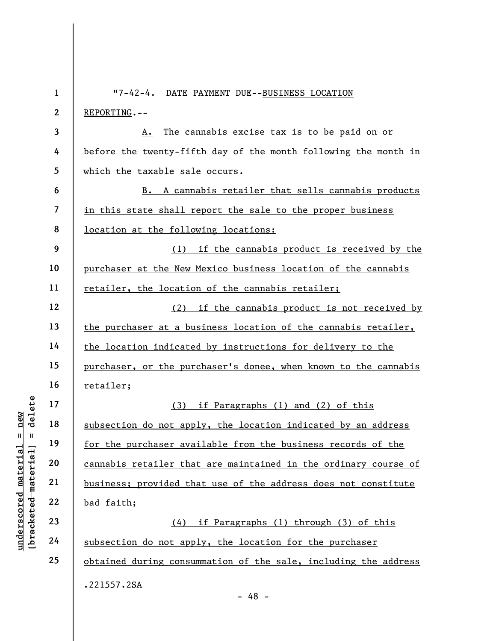|                                    | $\mathbf{1}$             | "7-42-4. DATE PAYMENT DUE--BUSINESS LOCATION                    |
|------------------------------------|--------------------------|-----------------------------------------------------------------|
|                                    | $\boldsymbol{2}$         | REPORTING.--                                                    |
|                                    | 3                        | The cannabis excise tax is to be paid on or<br><u>A.</u>        |
|                                    | 4                        | before the twenty-fifth day of the month following the month in |
|                                    | 5                        | which the taxable sale occurs.                                  |
|                                    | 6                        | A cannabis retailer that sells cannabis products<br><b>B.</b>   |
|                                    | $\overline{\mathcal{L}}$ | in this state shall report the sale to the proper business      |
|                                    | 8                        | <u>location at the following locations:</u>                     |
|                                    | 9                        | (1) if the cannabis product is received by the                  |
|                                    | 10                       | purchaser at the New Mexico business location of the cannabis   |
|                                    | 11                       | <u>retailer, the location of the cannabis retailer;</u>         |
|                                    | 12                       | if the cannabis product is not received by<br>(2)               |
|                                    | 13                       | the purchaser at a business location of the cannabis retailer,  |
|                                    | 14                       | the location indicated by instructions for delivery to the      |
|                                    | 15                       | purchaser, or the purchaser's donee, when known to the cannabis |
|                                    | 16                       | <u>retailer;</u>                                                |
| delete                             | 17                       | (3)<br>if Paragraphs (1) and (2) of this                        |
| new                                | 18                       | subsection do not apply, the location indicated by an address   |
| $\mathbf{u}$<br>- II               | 19                       | for the purchaser available from the business records of the    |
| materia                            | 20                       | cannabis retailer that are maintained in the ordinary course of |
|                                    | 21                       | business; provided that use of the address does not constitute  |
| [bracketed material<br>underscored | 22                       | bad faith;                                                      |
|                                    | 23                       | (4) if Paragraphs (1) through (3) of this                       |
|                                    | 24                       | subsection do not apply, the location for the purchaser         |
|                                    | 25                       | obtained during consummation of the sale, including the address |
|                                    |                          | .221557.2SA                                                     |
|                                    |                          | $-48 -$                                                         |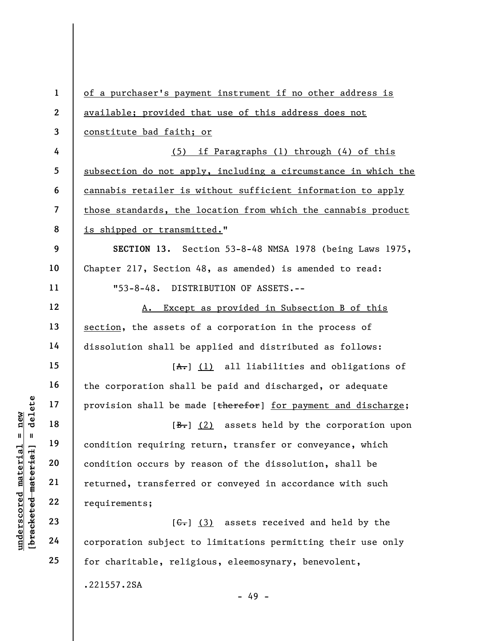understand material material end and the material of the same of the same of the same of the same of the same of the same of the same of the same of the same of the same of the same of the same of the same of the same of t 1 2 3 4 5 6 7 8 9 10 11 12 13 14 15 16 17 18 19 20 21 22 23 24 25 of a purchaser's payment instrument if no other address is available; provided that use of this address does not constitute bad faith; or (5) if Paragraphs (1) through (4) of this subsection do not apply, including a circumstance in which the cannabis retailer is without sufficient information to apply those standards, the location from which the cannabis product is shipped or transmitted." SECTION 13. Section 53-8-48 NMSA 1978 (being Laws 1975, Chapter 217, Section 48, as amended) is amended to read: "53-8-48. DISTRIBUTION OF ASSETS.-- A. Except as provided in Subsection B of this section, the assets of a corporation in the process of dissolution shall be applied and distributed as follows:  $[A<sub>1</sub>]$  (1) all liabilities and obligations of the corporation shall be paid and discharged, or adequate provision shall be made [therefor] for payment and discharge;  $[\frac{B-}{2}]$  assets held by the corporation upon condition requiring return, transfer or conveyance, which condition occurs by reason of the dissolution, shall be returned, transferred or conveyed in accordance with such requirements;  $[G<sub>1</sub>]$  (3) assets received and held by the corporation subject to limitations permitting their use only for charitable, religious, eleemosynary, benevolent,

- 49 -

.221557.2SA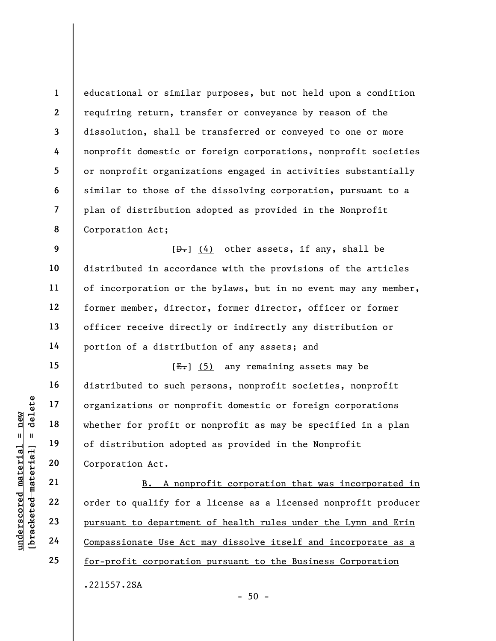1 2 3 4 5 6 7 8 educational or similar purposes, but not held upon a condition requiring return, transfer or conveyance by reason of the dissolution, shall be transferred or conveyed to one or more nonprofit domestic or foreign corporations, nonprofit societies or nonprofit organizations engaged in activities substantially similar to those of the dissolving corporation, pursuant to a plan of distribution adopted as provided in the Nonprofit Corporation Act;

 $[\frac{D-1}{2}]$  (4) other assets, if any, shall be distributed in accordance with the provisions of the articles of incorporation or the bylaws, but in no event may any member, former member, director, former director, officer or former officer receive directly or indirectly any distribution or portion of a distribution of any assets; and

under 17<br>
and 18<br>
under 18<br>
under 19<br>
under 19<br>
under 19<br>
20<br>
under 19<br>
21<br>
22<br>
<u>order to qualify for</u><br>
23<br>
<u>unsuant to department</u><br>
24<br>
<u>Compassionate Use Act</u>  $[E-]$  (5) any remaining assets may be distributed to such persons, nonprofit societies, nonprofit organizations or nonprofit domestic or foreign corporations whether for profit or nonprofit as may be specified in a plan of distribution adopted as provided in the Nonprofit Corporation Act.

B. A nonprofit corporation that was incorporated in order to qualify for a license as a licensed nonprofit producer pursuant to department of health rules under the Lynn and Erin Compassionate Use Act may dissolve itself and incorporate as a for-profit corporation pursuant to the Business Corporation .221557.2SA

9

10

11

12

13

14

15

16

17

18

19

20

21

22

23

24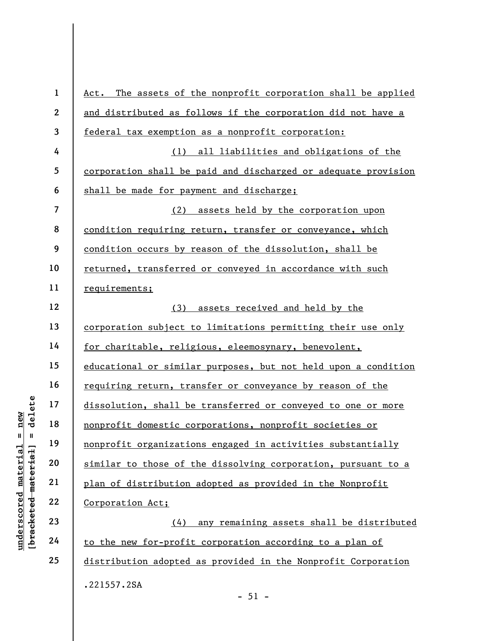|                                   | $\mathbf{1}$   | Act. The assets of the nonprofit corporation shall be applied  |
|-----------------------------------|----------------|----------------------------------------------------------------|
|                                   | $\mathbf{2}$   | and distributed as follows if the corporation did not have a   |
|                                   | $\mathbf{3}$   | federal tax exemption as a nonprofit corporation:              |
|                                   | 4              | (1) all liabilities and obligations of the                     |
|                                   | 5              | corporation shall be paid and discharged or adequate provision |
|                                   | 6              | shall be made for payment and discharge;                       |
|                                   | $\overline{7}$ | assets held by the corporation upon<br>(2)                     |
|                                   | 8              | condition requiring return, transfer or conveyance, which      |
|                                   | 9              | condition occurs by reason of the dissolution, shall be        |
|                                   | 10             | returned, transferred or conveyed in accordance with such      |
|                                   | 11             | requirements;                                                  |
|                                   | 12             | (3)<br>assets received and held by the                         |
|                                   | 13             | corporation subject to limitations permitting their use only   |
|                                   | 14             | for charitable, religious, eleemosynary, benevolent,           |
|                                   | 15             | educational or similar purposes, but not held upon a condition |
|                                   | 16             | requiring return, transfer or conveyance by reason of the      |
| delete                            | 17             | dissolution, shall be transferred or conveyed to one or more   |
| new                               | 18             | nonprofit domestic corporations, nonprofit societies or        |
| H<br>$\mathbf{I}$                 | 19             | nonprofit organizations engaged in activities substantially    |
| [ <del>bracketed material</del> ] | 20             | similar to those of the dissolving corporation, pursuant to a  |
| underscored material              | 21             | plan of distribution adopted as provided in the Nonprofit      |
|                                   | 22             | Corporation Act;                                               |
|                                   | 23             | any remaining assets shall be distributed<br>(4)               |
|                                   | 24             | to the new for-profit corporation according to a plan of       |
|                                   | 25             | distribution adopted as provided in the Nonprofit Corporation  |
|                                   |                | .221557.2SA                                                    |

- 51 -